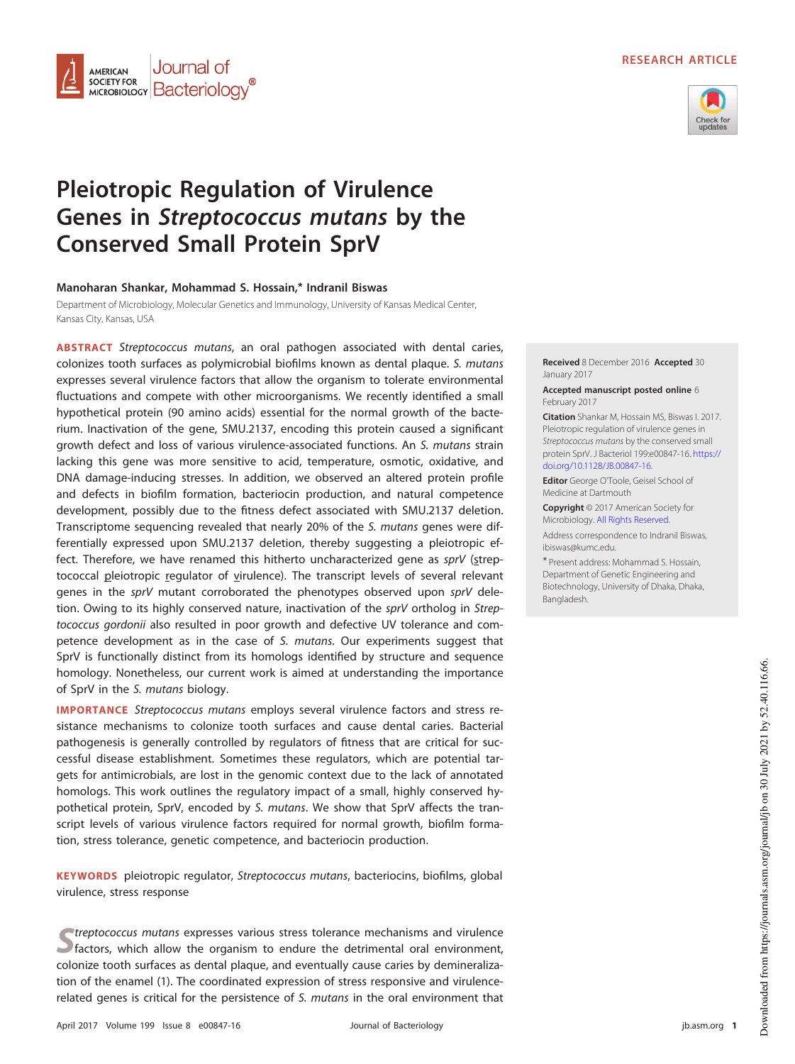### **RESEARCH ARTICLE**



# **Pleiotropic Regulation of Virulence Genes in Streptococcus mutans by the Conserved Small Protein SprV**

## **Manoharan Shankar, Mohammad S. Hossain,\* Indranil Biswas**

Journal of

**SOCIETY FOR Bacteriology** 

**AMERICAN SOCIETY FOR** 

Department of Microbiology, Molecular Genetics and Immunology, University of Kansas Medical Center, Kansas City, Kansas, USA

**ABSTRACT** Streptococcus mutans, an oral pathogen associated with dental caries, colonizes tooth surfaces as polymicrobial biofilms known as dental plaque. S. mutans expresses several virulence factors that allow the organism to tolerate environmental fluctuations and compete with other microorganisms. We recently identified a small hypothetical protein (90 amino acids) essential for the normal growth of the bacterium. Inactivation of the gene, SMU.2137, encoding this protein caused a significant growth defect and loss of various virulence-associated functions. An S. mutans strain lacking this gene was more sensitive to acid, temperature, osmotic, oxidative, and DNA damage-inducing stresses. In addition, we observed an altered protein profile and defects in biofilm formation, bacteriocin production, and natural competence development, possibly due to the fitness defect associated with SMU.2137 deletion. Transcriptome sequencing revealed that nearly 20% of the S. mutans genes were differentially expressed upon SMU.2137 deletion, thereby suggesting a pleiotropic effect. Therefore, we have renamed this hitherto uncharacterized gene as sprV (streptococcal pleiotropic regulator of virulence). The transcript levels of several relevant genes in the sprV mutant corroborated the phenotypes observed upon sprV deletion. Owing to its highly conserved nature, inactivation of the sprV ortholog in Streptococcus gordonii also resulted in poor growth and defective UV tolerance and competence development as in the case of S. mutans. Our experiments suggest that SprV is functionally distinct from its homologs identified by structure and sequence homology. Nonetheless, our current work is aimed at understanding the importance of SprV in the S. mutans biology.

**IMPORTANCE** Streptococcus mutans employs several virulence factors and stress resistance mechanisms to colonize tooth surfaces and cause dental caries. Bacterial pathogenesis is generally controlled by regulators of fitness that are critical for successful disease establishment. Sometimes these regulators, which are potential targets for antimicrobials, are lost in the genomic context due to the lack of annotated homologs. This work outlines the regulatory impact of a small, highly conserved hypothetical protein, SprV, encoded by S. mutans. We show that SprV affects the transcript levels of various virulence factors required for normal growth, biofilm formation, stress tolerance, genetic competence, and bacteriocin production.

**KEYWORDS** pleiotropic regulator, Streptococcus mutans, bacteriocins, biofilms, global virulence, stress response

**S** *Streptococcus mutans* expresses various stress tolerance mechanisms and virulence S factors, which allow the organism to endure the detrimental oral environment, treptococcus mutans expresses various stress tolerance mechanisms and virulence colonize tooth surfaces as dental plaque, and eventually cause caries by demineralization of the enamel [\(1\)](#page-16-0). The coordinated expression of stress responsive and virulencerelated genes is critical for the persistence of S. mutans in the oral environment that **Received** 8 December 2016 **Accepted** 30 January 2017

**Accepted manuscript posted online** 6 February 2017

**Citation** Shankar M, Hossain MS, Biswas I. 2017. Pleiotropic regulation of virulence genes in Streptococcus mutans by the conserved small protein SprV. J Bacteriol 199:e00847-16. https:// doi.org/10.1128/JB.00847-16.

**Editor** George O'Toole, Geisel School of Medicine at Dartmouth

**Copyright** © 2017 American Society for Microbiology. All Rights Reserved.

Address correspondence to Indranil Biswas, ibiswas@kumc.edu.

\* Present address: Mohammad S. Hossain, Department of Genetic Engineering and Biotechnology, University of Dhaka, Dhaka, Bangladesh.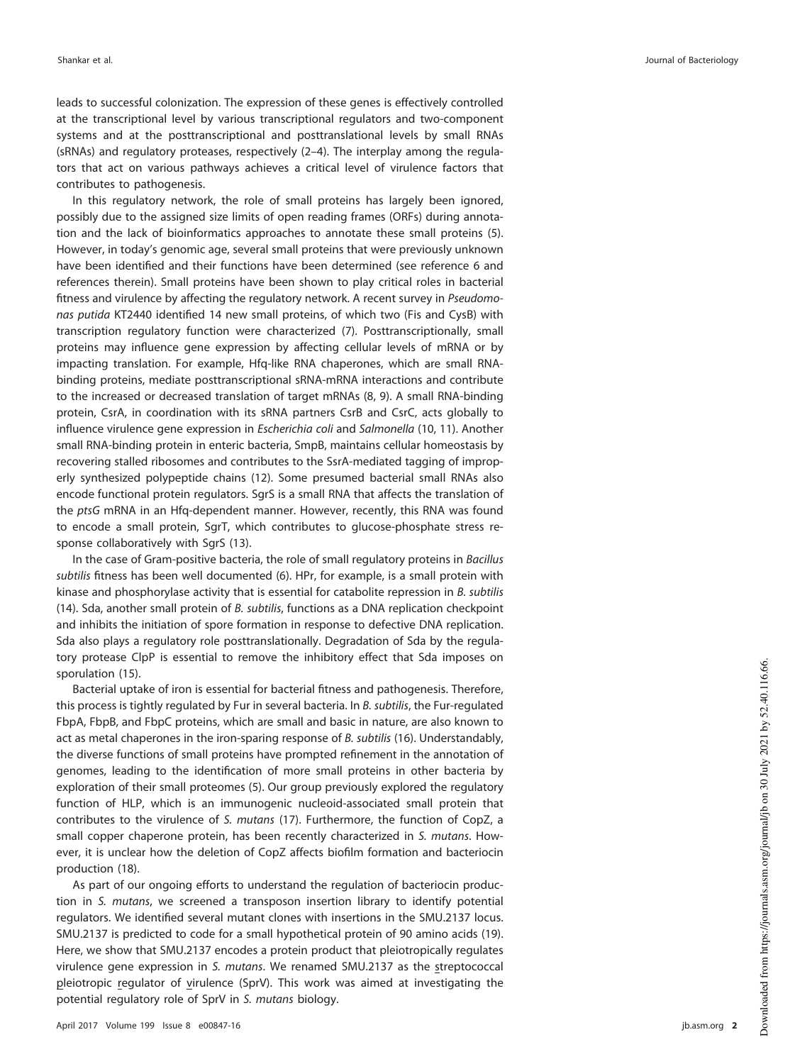leads to successful colonization. The expression of these genes is effectively controlled at the transcriptional level by various transcriptional regulators and two-component systems and at the posttranscriptional and posttranslational levels by small RNAs (sRNAs) and regulatory proteases, respectively [\(2](#page-16-1)[–](#page-16-2)[4\)](#page-16-3). The interplay among the regulators that act on various pathways achieves a critical level of virulence factors that contributes to pathogenesis.

In this regulatory network, the role of small proteins has largely been ignored, possibly due to the assigned size limits of open reading frames (ORFs) during annotation and the lack of bioinformatics approaches to annotate these small proteins [\(5\)](#page-16-4). However, in today's genomic age, several small proteins that were previously unknown have been identified and their functions have been determined (see reference [6](#page-16-5) and references therein). Small proteins have been shown to play critical roles in bacterial fitness and virulence by affecting the regulatory network. A recent survey in Pseudomonas putida KT2440 identified 14 new small proteins, of which two (Fis and CysB) with transcription regulatory function were characterized [\(7\)](#page-16-6). Posttranscriptionally, small proteins may influence gene expression by affecting cellular levels of mRNA or by impacting translation. For example, Hfq-like RNA chaperones, which are small RNAbinding proteins, mediate posttranscriptional sRNA-mRNA interactions and contribute to the increased or decreased translation of target mRNAs [\(8,](#page-16-7) [9\)](#page-16-8). A small RNA-binding protein, CsrA, in coordination with its sRNA partners CsrB and CsrC, acts globally to influence virulence gene expression in Escherichia coli and Salmonella [\(10,](#page-16-9) [11\)](#page-16-10). Another small RNA-binding protein in enteric bacteria, SmpB, maintains cellular homeostasis by recovering stalled ribosomes and contributes to the SsrA-mediated tagging of improperly synthesized polypeptide chains [\(12\)](#page-16-11). Some presumed bacterial small RNAs also encode functional protein regulators. SgrS is a small RNA that affects the translation of the ptsG mRNA in an Hfq-dependent manner. However, recently, this RNA was found to encode a small protein, SgrT, which contributes to glucose-phosphate stress response collaboratively with SgrS [\(13\)](#page-16-12).

In the case of Gram-positive bacteria, the role of small regulatory proteins in Bacillus subtilis fitness has been well documented [\(6\)](#page-16-5). HPr, for example, is a small protein with kinase and phosphorylase activity that is essential for catabolite repression in B. subtilis [\(14\)](#page-16-13). Sda, another small protein of  $B$ . subtilis, functions as a DNA replication checkpoint and inhibits the initiation of spore formation in response to defective DNA replication. Sda also plays a regulatory role posttranslationally. Degradation of Sda by the regulatory protease ClpP is essential to remove the inhibitory effect that Sda imposes on sporulation [\(15\)](#page-16-14).

Bacterial uptake of iron is essential for bacterial fitness and pathogenesis. Therefore, this process is tightly regulated by Fur in several bacteria. In B. subtilis, the Fur-regulated FbpA, FbpB, and FbpC proteins, which are small and basic in nature, are also known to act as metal chaperones in the iron-sparing response of B. subtilis [\(16\)](#page-16-15). Understandably, the diverse functions of small proteins have prompted refinement in the annotation of genomes, leading to the identification of more small proteins in other bacteria by exploration of their small proteomes [\(5\)](#page-16-4). Our group previously explored the regulatory function of HLP, which is an immunogenic nucleoid-associated small protein that contributes to the virulence of S. mutans [\(17\)](#page-16-16). Furthermore, the function of CopZ, a small copper chaperone protein, has been recently characterized in S. mutans. However, it is unclear how the deletion of CopZ affects biofilm formation and bacteriocin production [\(18\)](#page-16-17).

As part of our ongoing efforts to understand the regulation of bacteriocin production in S. mutans, we screened a transposon insertion library to identify potential regulators. We identified several mutant clones with insertions in the SMU.2137 locus. SMU.2137 is predicted to code for a small hypothetical protein of 90 amino acids [\(19\)](#page-16-18). Here, we show that SMU.2137 encodes a protein product that pleiotropically regulates virulence gene expression in S. mutans. We renamed SMU.2137 as the streptococcal pleiotropic regulator of virulence (SprV). This work was aimed at investigating the potential regulatory role of SprV in S. mutans biology.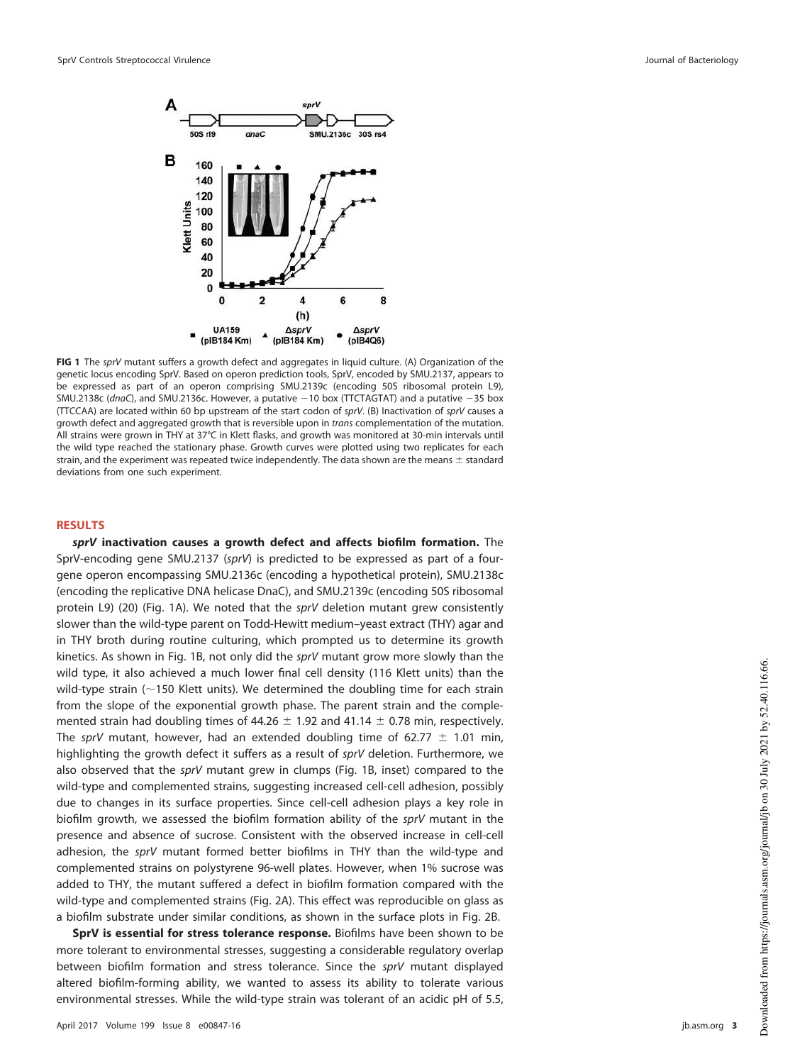

<span id="page-2-0"></span>**FIG 1** The sprV mutant suffers a growth defect and aggregates in liquid culture. (A) Organization of the genetic locus encoding SprV. Based on operon prediction tools, SprV, encoded by SMU.2137, appears to be expressed as part of an operon comprising SMU.2139c (encoding 50S ribosomal protein L9), SMU.2138c (dnaC), and SMU.2136c. However, a putative  $-10$  box (TTCTAGTAT) and a putative  $-35$  box (TTCCAA) are located within 60 bp upstream of the start codon of sprV. (B) Inactivation of sprV causes a growth defect and aggregated growth that is reversible upon in trans complementation of the mutation. All strains were grown in THY at 37°C in Klett flasks, and growth was monitored at 30-min intervals until the wild type reached the stationary phase. Growth curves were plotted using two replicates for each strain, and the experiment was repeated twice independently. The data shown are the means  $\pm$  standard deviations from one such experiment.

#### **RESULTS**

**sprV inactivation causes a growth defect and affects biofilm formation.** The SprV-encoding gene SMU.2137 (sprV) is predicted to be expressed as part of a fourgene operon encompassing SMU.2136c (encoding a hypothetical protein), SMU.2138c (encoding the replicative DNA helicase DnaC), and SMU.2139c (encoding 50S ribosomal protein L9) [\(20\)](#page-17-0) [\(Fig. 1A\)](#page-2-0). We noted that the sprV deletion mutant grew consistently slower than the wild-type parent on Todd-Hewitt medium–yeast extract (THY) agar and in THY broth during routine culturing, which prompted us to determine its growth kinetics. As shown in [Fig. 1B,](#page-2-0) not only did the sprV mutant grow more slowly than the wild type, it also achieved a much lower final cell density (116 Klett units) than the wild-type strain ( $\sim$ 150 Klett units). We determined the doubling time for each strain from the slope of the exponential growth phase. The parent strain and the complemented strain had doubling times of 44.26  $\pm$  1.92 and 41.14  $\pm$  0.78 min, respectively. The sprV mutant, however, had an extended doubling time of 62.77  $\pm$  1.01 min, highlighting the growth defect it suffers as a result of sprV deletion. Furthermore, we also observed that the sprV mutant grew in clumps [\(Fig. 1B,](#page-2-0) inset) compared to the wild-type and complemented strains, suggesting increased cell-cell adhesion, possibly due to changes in its surface properties. Since cell-cell adhesion plays a key role in biofilm growth, we assessed the biofilm formation ability of the sprV mutant in the presence and absence of sucrose. Consistent with the observed increase in cell-cell adhesion, the sprV mutant formed better biofilms in THY than the wild-type and complemented strains on polystyrene 96-well plates. However, when 1% sucrose was added to THY, the mutant suffered a defect in biofilm formation compared with the wild-type and complemented strains [\(Fig. 2A\)](#page-3-0). This effect was reproducible on glass as a biofilm substrate under similar conditions, as shown in the surface plots in [Fig. 2B.](#page-3-0)

**SprV is essential for stress tolerance response.** Biofilms have been shown to be more tolerant to environmental stresses, suggesting a considerable regulatory overlap between biofilm formation and stress tolerance. Since the sprV mutant displayed altered biofilm-forming ability, we wanted to assess its ability to tolerate various environmental stresses. While the wild-type strain was tolerant of an acidic pH of 5.5,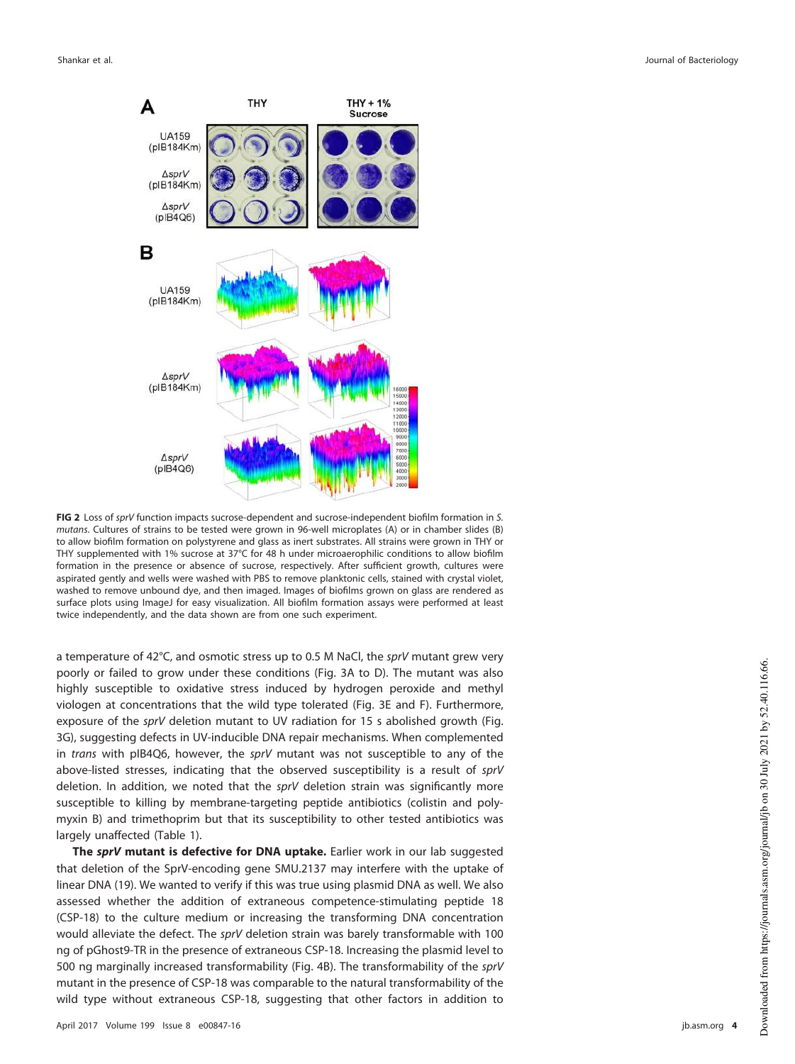

<span id="page-3-0"></span>**FIG 2** Loss of sprV function impacts sucrose-dependent and sucrose-independent biofilm formation in S. mutans. Cultures of strains to be tested were grown in 96-well microplates (A) or in chamber slides (B) to allow biofilm formation on polystyrene and glass as inert substrates. All strains were grown in THY or THY supplemented with 1% sucrose at 37°C for 48 h under microaerophilic conditions to allow biofilm formation in the presence or absence of sucrose, respectively. After sufficient growth, cultures were aspirated gently and wells were washed with PBS to remove planktonic cells, stained with crystal violet, washed to remove unbound dye, and then imaged. Images of biofilms grown on glass are rendered as surface plots using ImageJ for easy visualization. All biofilm formation assays were performed at least twice independently, and the data shown are from one such experiment.

a temperature of 42°C, and osmotic stress up to 0.5 M NaCl, the sprV mutant grew very poorly or failed to grow under these conditions [\(Fig. 3A](#page-4-0) to [D\)](#page-4-0). The mutant was also highly susceptible to oxidative stress induced by hydrogen peroxide and methyl viologen at concentrations that the wild type tolerated [\(Fig. 3E](#page-4-0) and [F\)](#page-4-0). Furthermore, exposure of the sprV deletion mutant to UV radiation for 15 s abolished growth [\(Fig.](#page-4-0) [3G\), suggesting defects in UV-inducible DNA repair mechanisms. When complemented](#page-4-0) in trans with pIB4Q6, however, the sprV [mutant was not susceptible to any of the](#page-4-0) [above-listed stresses, indicating that the observed susceptibility is a result of](#page-4-0) sprV [deletion. In addition, we noted that the](#page-4-0) sprV deletion strain was significantly more [susceptible to killing by membrane-targeting peptide antibiotics \(colistin and poly](#page-4-0)[myxin B\) and trimethoprim but that its susceptibility to other tested antibiotics was](#page-4-0) largely unaffected [\(Table 1\)](#page-5-0).

**The sprV mutant is defective for DNA uptake.** Earlier work in our lab suggested that deletion of the SprV-encoding gene SMU.2137 may interfere with the uptake of linear DNA [\(19\)](#page-16-18). We wanted to verify if this was true using plasmid DNA as well. We also assessed whether the addition of extraneous competence-stimulating peptide 18 (CSP-18) to the culture medium or increasing the transforming DNA concentration would alleviate the defect. The sprV deletion strain was barely transformable with 100 ng of pGhost9-TR in the presence of extraneous CSP-18. Increasing the plasmid level to 500 ng marginally increased transformability [\(Fig. 4B\)](#page-5-1). The transformability of the sprV mutant in the presence of CSP-18 was comparable to the natural transformability of the wild type without extraneous CSP-18, suggesting that other factors in addition to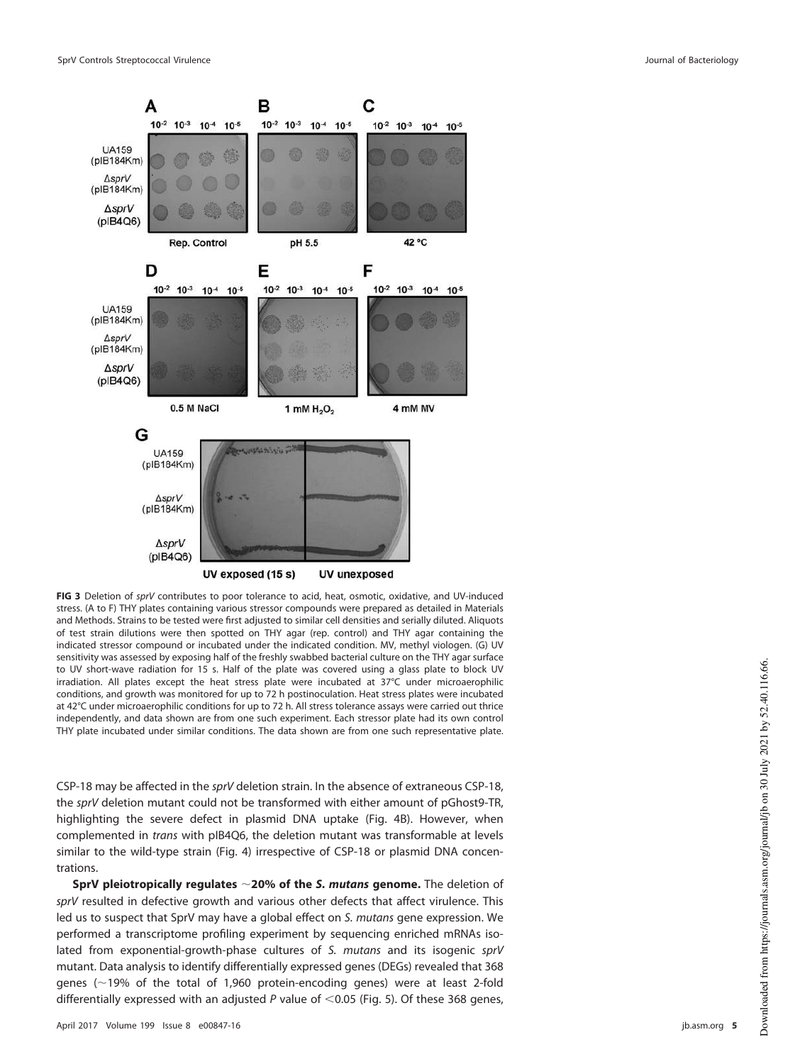

<span id="page-4-0"></span>**FIG 3** Deletion of sprV contributes to poor tolerance to acid, heat, osmotic, oxidative, and UV-induced stress. (A to F) THY plates containing various stressor compounds were prepared as detailed in Materials and Methods. Strains to be tested were first adjusted to similar cell densities and serially diluted. Aliquots of test strain dilutions were then spotted on THY agar (rep. control) and THY agar containing the indicated stressor compound or incubated under the indicated condition. MV, methyl viologen. (G) UV sensitivity was assessed by exposing half of the freshly swabbed bacterial culture on the THY agar surface to UV short-wave radiation for 15 s. Half of the plate was covered using a glass plate to block UV irradiation. All plates except the heat stress plate were incubated at 37°C under microaerophilic conditions, and growth was monitored for up to 72 h postinoculation. Heat stress plates were incubated at 42°C under microaerophilic conditions for up to 72 h. All stress tolerance assays were carried out thrice independently, and data shown are from one such experiment. Each stressor plate had its own control THY plate incubated under similar conditions. The data shown are from one such representative plate.

CSP-18 may be affected in the sprV deletion strain. In the absence of extraneous CSP-18, the sprV deletion mutant could not be transformed with either amount of pGhost9-TR, highlighting the severe defect in plasmid DNA uptake [\(Fig. 4B\)](#page-5-1). However, when complemented in trans with pIB4Q6, the deletion mutant was transformable at levels similar to the wild-type strain [\(Fig. 4\)](#page-5-1) irrespective of CSP-18 or plasmid DNA concentrations.

**SprV pleiotropically regulates ~20% of the S. mutans genome.** The deletion of sprV resulted in defective growth and various other defects that affect virulence. This led us to suspect that SprV may have a global effect on S. mutans gene expression. We performed a transcriptome profiling experiment by sequencing enriched mRNAs isolated from exponential-growth-phase cultures of S. mutans and its isogenic sprV mutant. Data analysis to identify differentially expressed genes (DEGs) revealed that 368 genes ( $\sim$ 19% of the total of 1,960 protein-encoding genes) were at least 2-fold differentially expressed with an adjusted P value of  $<$  0.05 [\(Fig. 5\)](#page-6-0). Of these 368 genes,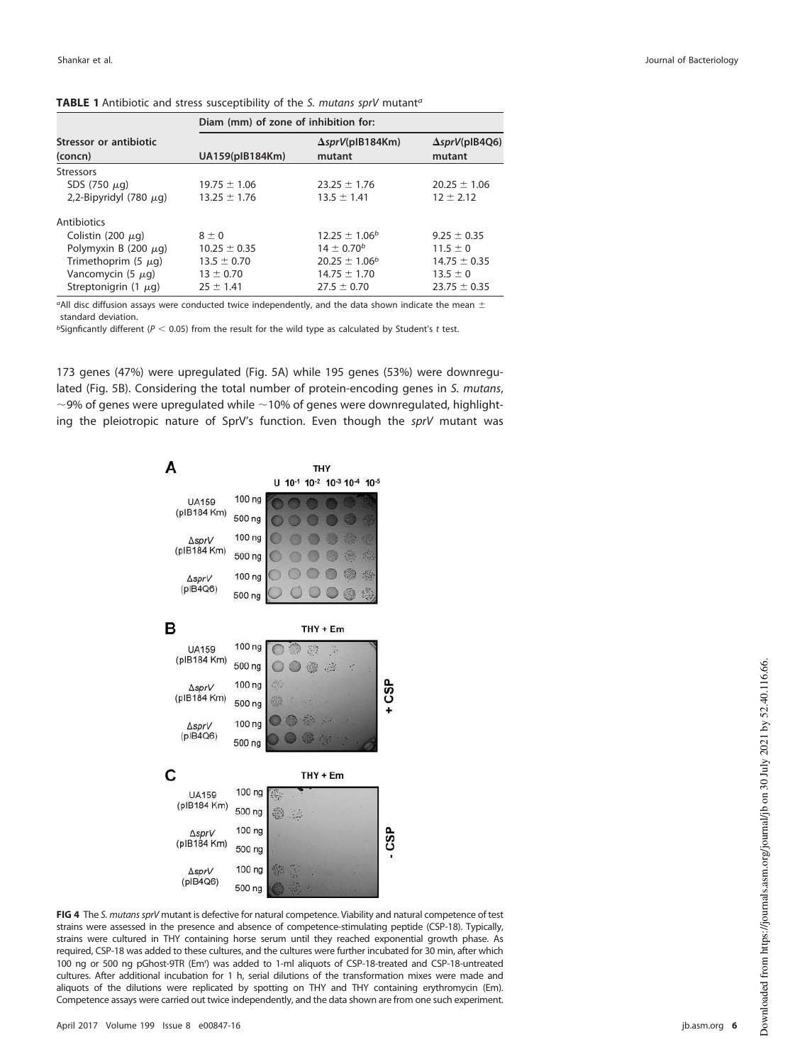|                                   | Diam (mm) of zone of inhibition for: |                                    |                                 |  |  |
|-----------------------------------|--------------------------------------|------------------------------------|---------------------------------|--|--|
| Stressor or antibiotic<br>(concn) | UA159(pIB184Km)                      | $\Delta sprV$ (pIB184Km)<br>mutant | $\Delta sprV(plB4Q6)$<br>mutant |  |  |
| <b>Stressors</b>                  |                                      |                                    |                                 |  |  |
| SDS (750 $\mu$ g)                 | $19.75 \pm 1.06$                     | $23.25 \pm 1.76$                   | $20.25 \pm 1.06$                |  |  |
| 2,2-Bipyridyl (780 $\mu$ g)       | $13.25 \pm 1.76$                     | $13.5 \pm 1.41$                    | $12 \pm 2.12$                   |  |  |
| Antibiotics                       |                                      |                                    |                                 |  |  |
| Colistin (200 $\mu$ g)            | $8 \pm 0$                            | $12.25 \pm 1.06^b$                 | $9.25 \pm 0.35$                 |  |  |
| Polymyxin B (200 $\mu$ g)         | $10.25 \pm 0.35$                     | $14 \pm 0.70^{b}$                  | $11.5 \pm 0$                    |  |  |
| Trimethoprim (5 $\mu$ g)          | $13.5 \pm 0.70$                      | $20.25 \pm 1.06^b$                 | $14.75 \pm 0.35$                |  |  |
| Vancomycin $(5 \mu q)$            | $13 \pm 0.70$                        | $14.75 \pm 1.70$                   | $13.5 \pm 0$                    |  |  |
| Streptonigrin (1 $\mu$ g)         | $25 \pm 1.41$                        | $27.5 \pm 0.70$                    | $23.75 \pm 0.35$                |  |  |

<span id="page-5-0"></span>**TABLE 1** Antibiotic and stress susceptibility of the S. mutans sprV mutant<sup>a</sup>

<sup>a</sup>All disc diffusion assays were conducted twice independently, and the data shown indicate the mean  $\pm$ standard deviation.

 $b$ Signficantly different ( $P < 0.05$ ) from the result for the wild type as calculated by Student's t test.

173 genes (47%) were upregulated [\(Fig. 5A\)](#page-6-0) while 195 genes (53%) were downregulated [\(Fig. 5B\)](#page-6-0). Considering the total number of protein-encoding genes in S. mutans,  $\sim$ 9% of genes were upregulated while  $\sim$ 10% of genes were downregulated, highlighting the pleiotropic nature of SprV's function. Even though the sprV mutant was



<span id="page-5-1"></span>**FIG 4** The S. mutans sprV mutant is defective for natural competence. Viability and natural competence of test strains were assessed in the presence and absence of competence-stimulating peptide (CSP-18). Typically, strains were cultured in THY containing horse serum until they reached exponential growth phase. As required, CSP-18 was added to these cultures, and the cultures were further incubated for 30 min, after which 100 ng or 500 ng pGhost-9TR (Em<sup>r</sup> ) was added to 1-ml aliquots of CSP-18-treated and CSP-18-untreated cultures. After additional incubation for 1 h, serial dilutions of the transformation mixes were made and aliquots of the dilutions were replicated by spotting on THY and THY containing erythromycin (Em). Competence assays were carried out twice independently, and the data shown are from one such experiment.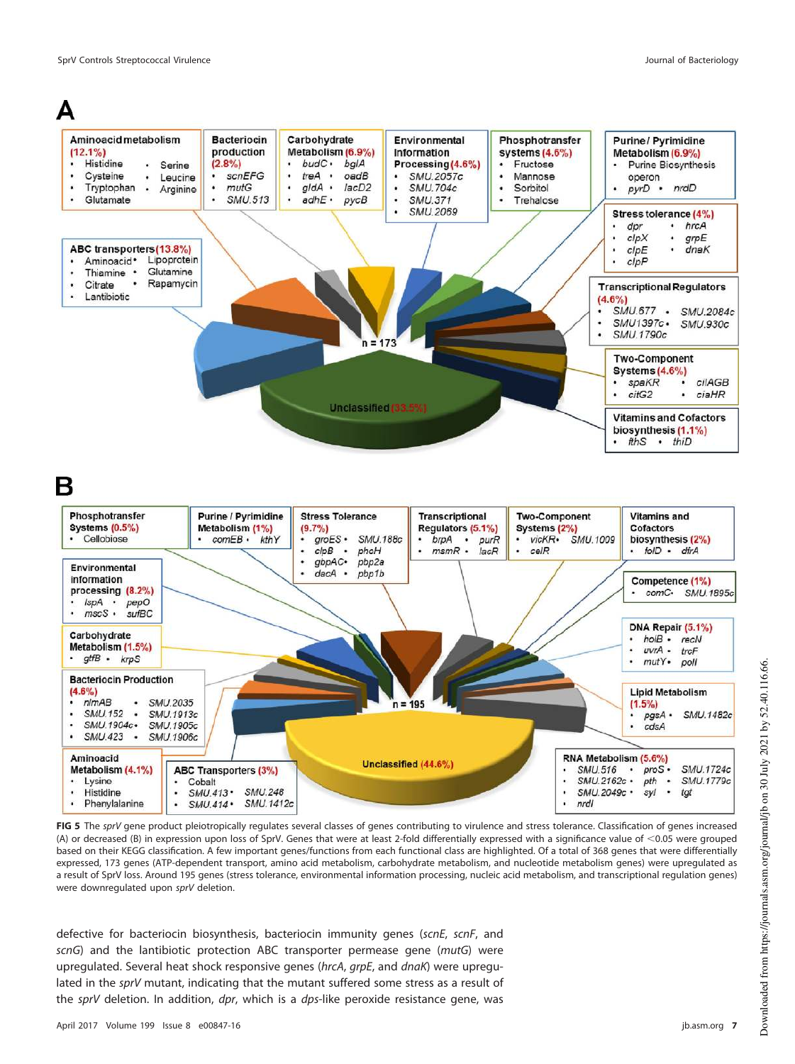

# R



<span id="page-6-0"></span>**FIG 5** The sprV gene product pleiotropically regulates several classes of genes contributing to virulence and stress tolerance. Classification of genes increased (A) or decreased (B) in expression upon loss of SprV. Genes that were at least 2-fold differentially expressed with a significance value of <0.05 were grouped based on their KEGG classification. A few important genes/functions from each functional class are highlighted. Of a total of 368 genes that were differentially expressed, 173 genes (ATP-dependent transport, amino acid metabolism, carbohydrate metabolism, and nucleotide metabolism genes) were upregulated as a result of SprV loss. Around 195 genes (stress tolerance, environmental information processing, nucleic acid metabolism, and transcriptional regulation genes) were downregulated upon sprV deletion.

defective for bacteriocin biosynthesis, bacteriocin immunity genes (scnE, scnF, and scnG) and the lantibiotic protection ABC transporter permease gene (mutG) were upregulated. Several heat shock responsive genes (hrcA, grpE, and dnaK) were upregulated in the sprV mutant, indicating that the mutant suffered some stress as a result of the sprV deletion. In addition, dpr, which is a dps-like peroxide resistance gene, was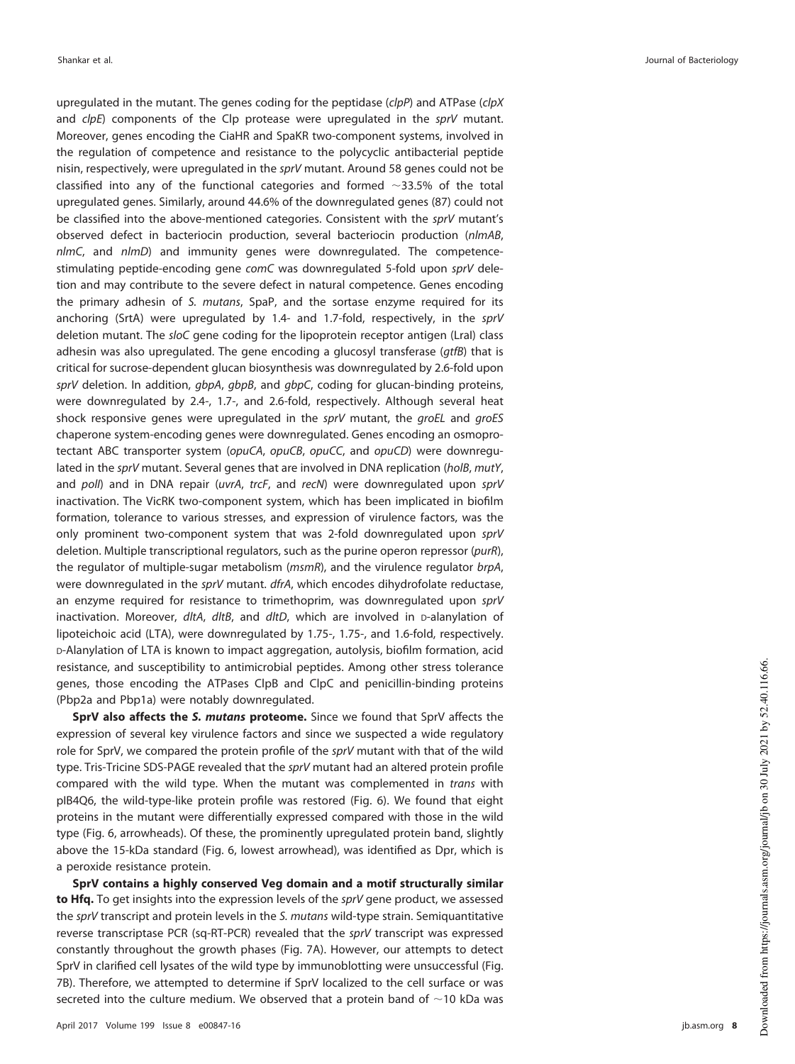upregulated in the mutant. The genes coding for the peptidase ( $clpP$ ) and ATPase ( $clpX$ and  $clpE$ ) components of the Clp protease were upregulated in the  $sprV$  mutant. Moreover, genes encoding the CiaHR and SpaKR two-component systems, involved in the regulation of competence and resistance to the polycyclic antibacterial peptide nisin, respectively, were upregulated in the sprV mutant. Around 58 genes could not be classified into any of the functional categories and formed  $\sim$ 33.5% of the total upregulated genes. Similarly, around 44.6% of the downregulated genes (87) could not be classified into the above-mentioned categories. Consistent with the sprV mutant's observed defect in bacteriocin production, several bacteriocin production (nlmAB,  $nlmC$ , and  $nlmD$ ) and immunity genes were downregulated. The competencestimulating peptide-encoding gene comC was downregulated 5-fold upon sprV deletion and may contribute to the severe defect in natural competence. Genes encoding the primary adhesin of S. mutans, SpaP, and the sortase enzyme required for its anchoring (SrtA) were upregulated by 1.4- and 1.7-fold, respectively, in the sprV deletion mutant. The sloC gene coding for the lipoprotein receptor antigen (LraI) class adhesin was also upregulated. The gene encoding a glucosyl transferase  $(qt\bar{t}B)$  that is critical for sucrose-dependent glucan biosynthesis was downregulated by 2.6-fold upon sprV deletion. In addition, gbpA, gbpB, and gbpC, coding for glucan-binding proteins, were downregulated by 2.4-, 1.7-, and 2.6-fold, respectively. Although several heat shock responsive genes were upregulated in the  $sprV$  mutant, the  $groEL$  and  $groES$ chaperone system-encoding genes were downregulated. Genes encoding an osmoprotectant ABC transporter system (opuCA, opuCB, opuCC, and opuCD) were downregulated in the sprV mutant. Several genes that are involved in DNA replication (holB, mutY, and poll) and in DNA repair (uvrA, trcF, and recN) were downregulated upon sprV inactivation. The VicRK two-component system, which has been implicated in biofilm formation, tolerance to various stresses, and expression of virulence factors, was the only prominent two-component system that was 2-fold downregulated upon sprV deletion. Multiple transcriptional regulators, such as the purine operon repressor (purR), the regulator of multiple-sugar metabolism (msmR), and the virulence regulator brpA, were downregulated in the sprV mutant. dfrA, which encodes dihydrofolate reductase, an enzyme required for resistance to trimethoprim, was downregulated upon sprV inactivation. Moreover, dltA, dltB, and dltD, which are involved in D-alanylation of lipoteichoic acid (LTA), were downregulated by 1.75-, 1.75-, and 1.6-fold, respectively. D-Alanylation of LTA is known to impact aggregation, autolysis, biofilm formation, acid resistance, and susceptibility to antimicrobial peptides. Among other stress tolerance genes, those encoding the ATPases ClpB and ClpC and penicillin-binding proteins (Pbp2a and Pbp1a) were notably downregulated.

**SprV also affects the S. mutans proteome.** Since we found that SprV affects the expression of several key virulence factors and since we suspected a wide regulatory role for SprV, we compared the protein profile of the sprV mutant with that of the wild type. Tris-Tricine SDS-PAGE revealed that the sprV mutant had an altered protein profile compared with the wild type. When the mutant was complemented in trans with pIB4Q6, the wild-type-like protein profile was restored [\(Fig. 6\)](#page-8-0). We found that eight proteins in the mutant were differentially expressed compared with those in the wild type [\(Fig. 6,](#page-8-0) arrowheads). Of these, the prominently upregulated protein band, slightly above the 15-kDa standard [\(Fig. 6,](#page-8-0) lowest arrowhead), was identified as Dpr, which is a peroxide resistance protein.

**SprV contains a highly conserved Veg domain and a motif structurally similar to Hfq.** To get insights into the expression levels of the sprV gene product, we assessed the sprV transcript and protein levels in the S. mutans wild-type strain. Semiquantitative reverse transcriptase PCR (sq-RT-PCR) revealed that the sprV transcript was expressed constantly throughout the growth phases [\(Fig. 7A\)](#page-9-0). However, our attempts to detect SprV in clarified cell lysates of the wild type by immunoblotting were unsuccessful [\(Fig.](#page-9-0) [7B\)](#page-9-0). Therefore, we attempted to determine if SprV localized to the cell surface or was secreted into the culture medium. We observed that a protein band of  $\sim$ 10 kDa was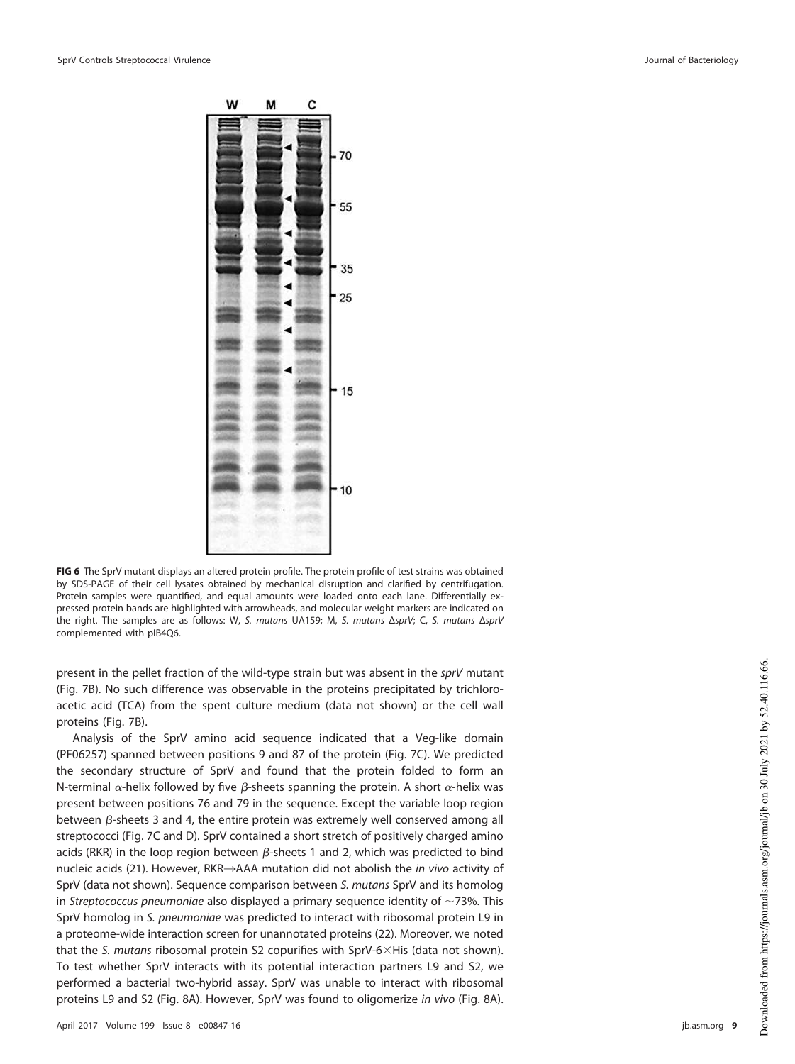

**FIG 6** The SprV mutant displays an altered protein profile. The protein profile of test strains was obtained by SDS-PAGE of their cell lysates obtained by mechanical disruption and clarified by centrifugation. Protein samples were quantified, and equal amounts were loaded onto each lane. Differentially expressed protein bands are highlighted with arrowheads, and molecular weight markers are indicated on the right. The samples are as follows: W, S. mutans UA159; M, S. mutans ΔsprV; C, S. mutans ΔsprV complemented with pIB4Q6.

<span id="page-8-0"></span>present in the pellet fraction of the wild-type strain but was absent in the sprV mutant [\(Fig. 7B\)](#page-9-0). No such difference was observable in the proteins precipitated by trichloroacetic acid (TCA) from the spent culture medium (data not shown) or the cell wall proteins [\(Fig. 7B\)](#page-9-0).

Analysis of the SprV amino acid sequence indicated that a Veg-like domain (PF06257) spanned between positions 9 and 87 of the protein [\(Fig. 7C\)](#page-9-0). We predicted the secondary structure of SprV and found that the protein folded to form an N-terminal  $\alpha$ -helix followed by five  $\beta$ -sheets spanning the protein. A short  $\alpha$ -helix was present between positions 76 and 79 in the sequence. Except the variable loop region between  $\beta$ -sheets 3 and 4, the entire protein was extremely well conserved among all streptococci [\(Fig. 7C](#page-9-0) and [D\)](#page-9-0). SprV contained a short stretch of positively charged amino acids (RKR) in the loop region between  $\beta$ -sheets 1 and 2, which was predicted to bind nucleic acids [\(21\)](#page-17-1). However, RKR $\rightarrow$ AAA mutation did not abolish the in vivo activity of SprV (data not shown). Sequence comparison between S. mutans SprV and its homolog in Streptococcus pneumoniae also displayed a primary sequence identity of  $\sim$ 73%. This SprV homolog in S. pneumoniae was predicted to interact with ribosomal protein L9 in a proteome-wide interaction screen for unannotated proteins [\(22\)](#page-17-2). Moreover, we noted that the S. mutans ribosomal protein S2 copurifies with SprV-6 $\times$ His (data not shown). To test whether SprV interacts with its potential interaction partners L9 and S2, we performed a bacterial two-hybrid assay. SprV was unable to interact with ribosomal proteins L9 and S2 [\(Fig. 8A\)](#page-10-0). However, SprV was found to oligomerize in vivo [\(Fig. 8A\)](#page-10-0).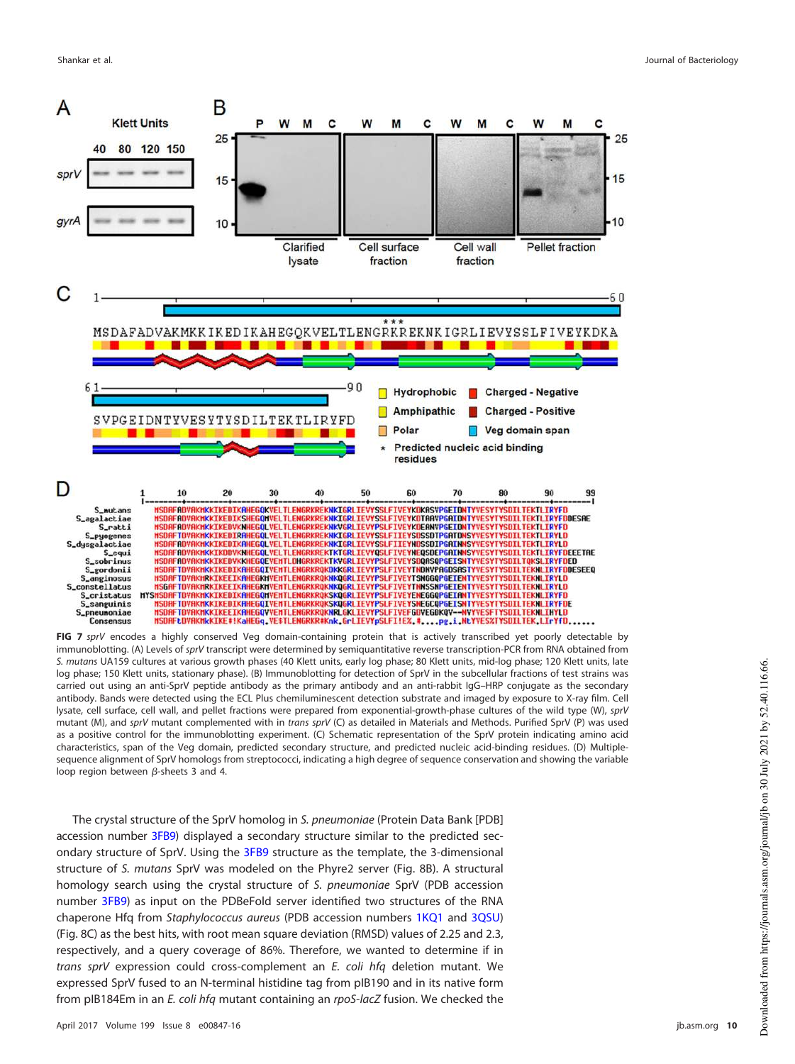

<span id="page-9-0"></span>**FIG 7** sprV encodes a highly conserved Veg domain-containing protein that is actively transcribed yet poorly detectable by immunoblotting. (A) Levels of sprV transcript were determined by semiquantitative reverse transcription-PCR from RNA obtained from S. mutans UA159 cultures at various growth phases (40 Klett units, early log phase; 80 Klett units, mid-log phase; 120 Klett units, late log phase; 150 Klett units, stationary phase). (B) Immunoblotting for detection of SprV in the subcellular fractions of test strains was carried out using an anti-SprV peptide antibody as the primary antibody and an anti-rabbit IgG–HRP conjugate as the secondary antibody. Bands were detected using the ECL Plus chemiluminescent detection substrate and imaged by exposure to X-ray film. Cell lysate, cell surface, cell wall, and pellet fractions were prepared from exponential-growth-phase cultures of the wild type (W), sprV mutant (M), and sprV mutant complemented with in trans sprV (C) as detailed in Materials and Methods. Purified SprV (P) was used as a positive control for the immunoblotting experiment. (C) Schematic representation of the SprV protein indicating amino acid characteristics, span of the Veg domain, predicted secondary structure, and predicted nucleic acid-binding residues. (D) Multiplesequence alignment of SprV homologs from streptococci, indicating a high degree of sequence conservation and showing the variable loop region between  $\beta$ -sheets 3 and 4.

The crystal structure of the SprV homolog in S. pneumoniae (Protein Data Bank [PDB] accession number 3FB9) displayed a secondary structure similar to the predicted secondary structure of SprV. Using the 3FB9 structure as the template, the 3-dimensional structure of S. mutans SprV was modeled on the Phyre2 server [\(Fig. 8B\)](#page-10-0). A structural homology search using the crystal structure of S. pneumoniae SprV (PDB accession number 3FB9) as input on the PDBeFold server identified two structures of the RNA chaperone Hfq from Staphylococcus aureus (PDB accession numbers 1KQ1 and 3QSU) [\(Fig. 8C\)](#page-10-0) as the best hits, with root mean square deviation (RMSD) values of 2.25 and 2.3, respectively, and a query coverage of 86%. Therefore, we wanted to determine if in trans sprV expression could cross-complement an E. coli hfq deletion mutant. We expressed SprV fused to an N-terminal histidine tag from pIB190 and in its native form from pIB184Em in an E. coli hfq mutant containing an rpoS-lacZ fusion. We checked the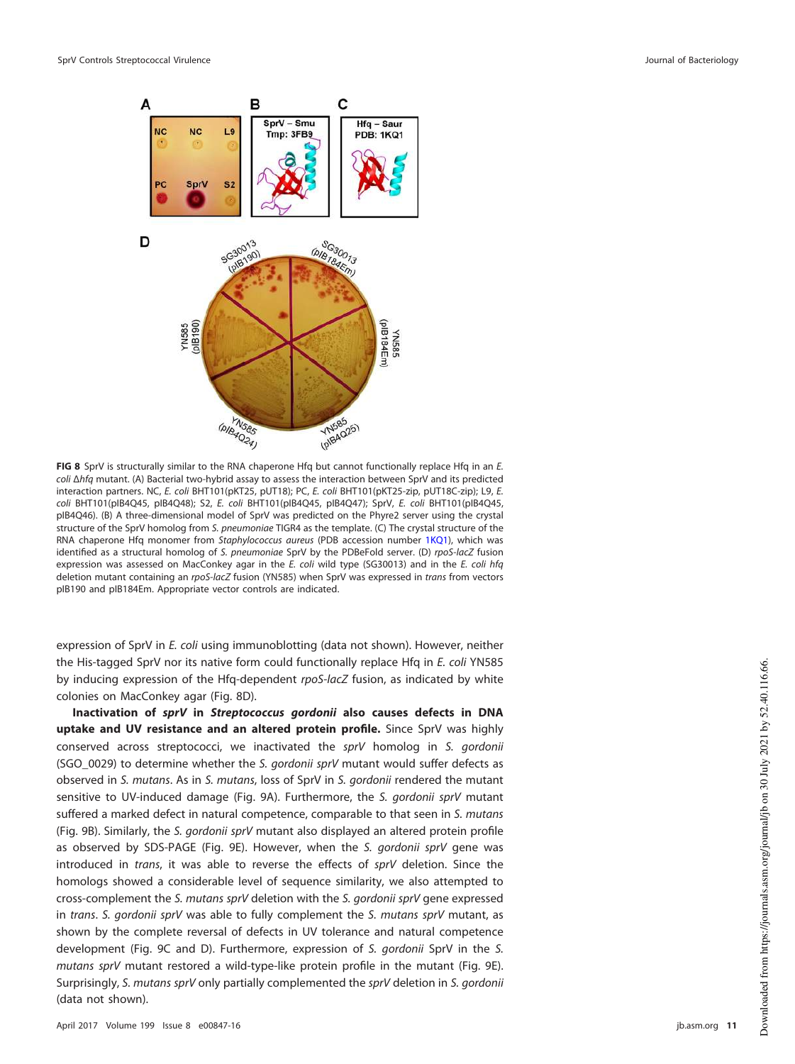

<span id="page-10-0"></span>**FIG 8** SprV is structurally similar to the RNA chaperone Hfq but cannot functionally replace Hfq in an E. coli Δhfq mutant. (A) Bacterial two-hybrid assay to assess the interaction between SprV and its predicted interaction partners. NC, E. coli BHT101(pKT25, pUT18); PC, E. coli BHT101(pKT25-zip, pUT18C-zip); L9, E. coli BHT101(pIB4Q45, pIB4Q48); S2, E. coli BHT101(pIB4Q45, pIB4Q47); SprV, E. coli BHT101(pIB4Q45, pIB4Q46). (B) A three-dimensional model of SprV was predicted on the Phyre2 server using the crystal structure of the SprV homolog from S. pneumoniae TIGR4 as the template. (C) The crystal structure of the RNA chaperone Hfq monomer from Staphylococcus aureus (PDB accession number 1KQ1), which was identified as a structural homolog of S. pneumoniae SprV by the PDBeFold server. (D) rpoS-lacZ fusion expression was assessed on MacConkey agar in the E. coli wild type (SG30013) and in the E. coli hfq deletion mutant containing an rpoS-lacZ fusion (YN585) when SprV was expressed in trans from vectors pIB190 and pIB184Em. Appropriate vector controls are indicated.

expression of SprV in E. coli using immunoblotting (data not shown). However, neither the His-tagged SprV nor its native form could functionally replace Hfq in E. coli YN585 by inducing expression of the Hfq-dependent rpoS-lacZ fusion, as indicated by white colonies on MacConkey agar [\(Fig. 8D\)](#page-10-0).

**Inactivation of sprV in Streptococcus gordonii also causes defects in DNA uptake and UV resistance and an altered protein profile.** Since SprV was highly conserved across streptococci, we inactivated the sprV homolog in S. gordonii (SGO\_0029) to determine whether the S. gordonii sprV mutant would suffer defects as observed in S. mutans. As in S. mutans, loss of SprV in S. gordonii rendered the mutant sensitive to UV-induced damage [\(Fig. 9A\)](#page-11-0). Furthermore, the S. gordonii sprV mutant suffered a marked defect in natural competence, comparable to that seen in S. mutans [\(Fig. 9B\)](#page-11-0). Similarly, the S. gordonii sprV mutant also displayed an altered protein profile as observed by SDS-PAGE [\(Fig. 9E\)](#page-11-0). However, when the S. gordonii sprV gene was introduced in trans, it was able to reverse the effects of sprV deletion. Since the homologs showed a considerable level of sequence similarity, we also attempted to cross-complement the S. mutans sprV deletion with the S. gordonii sprV gene expressed in trans. S. gordonii sprV was able to fully complement the S. mutans sprV mutant, as shown by the complete reversal of defects in UV tolerance and natural competence development [\(Fig. 9C](#page-11-0) and [D\)](#page-11-0). Furthermore, expression of S. gordonii SprV in the S. mutans sprV mutant restored a wild-type-like protein profile in the mutant [\(Fig. 9E\)](#page-11-0). Surprisingly, S. mutans sprV only partially complemented the sprV deletion in S. gordonii (data not shown).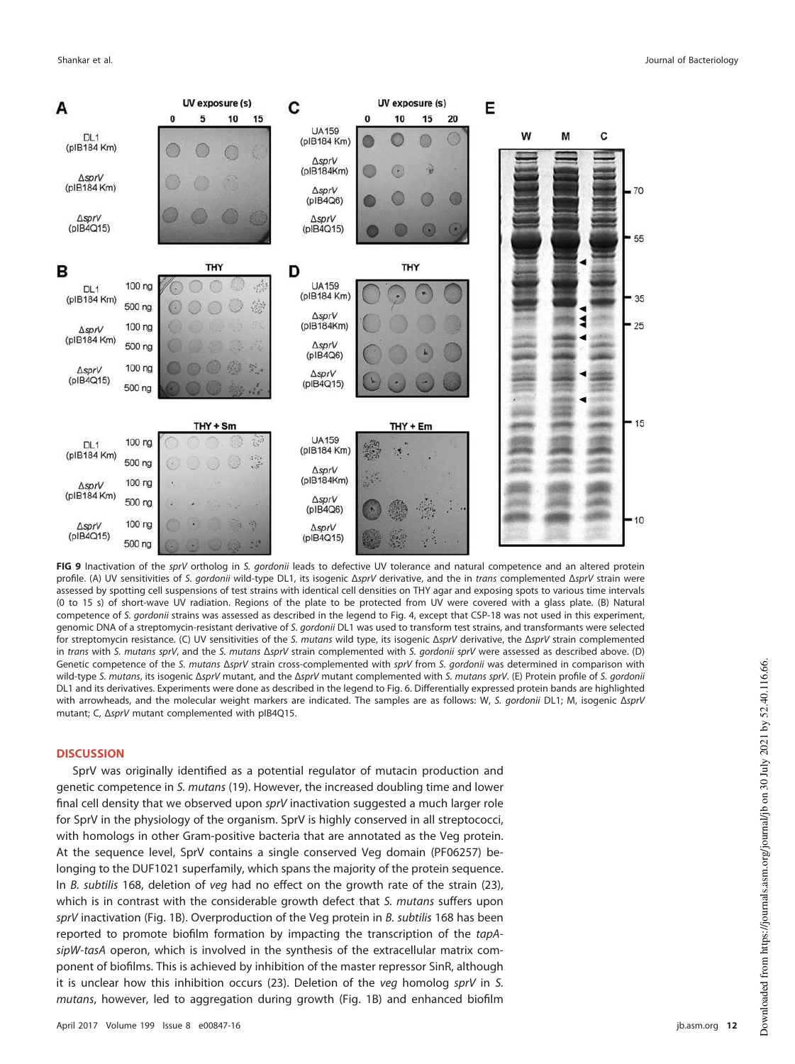

<span id="page-11-0"></span>**FIG 9** Inactivation of the sprV ortholog in S. gordonii leads to defective UV tolerance and natural competence and an altered protein profile. (A) UV sensitivities of S. gordonii wild-type DL1, its isogenic ΔsprV derivative, and the in trans complemented ΔsprV strain were assessed by spotting cell suspensions of test strains with identical cell densities on THY agar and exposing spots to various time intervals (0 to 15 s) of short-wave UV radiation. Regions of the plate to be protected from UV were covered with a glass plate. (B) Natural competence of S. gordonii strains was assessed as described in the legend to [Fig. 4,](#page-5-1) except that CSP-18 was not used in this experiment, genomic DNA of a streptomycin-resistant derivative of S. gordonii DL1 was used to transform test strains, and transformants were selected for streptomycin resistance. (C) UV sensitivities of the S. mutans wild type, its isogenic ΔsprV derivative, the ΔsprV strain complemented in trans with S. mutans sprV, and the S. mutans ΔsprV strain complemented with S. gordonii sprV were assessed as described above. (D) Genetic competence of the S. mutans ΔsprV strain cross-complemented with sprV from S. gordonii was determined in comparison with wild-type S. mutans, its isogenic ΔsprV mutant, and the ΔsprV mutant complemented with S. mutans sprV. (E) Protein profile of S. gordonii DL1 and its derivatives. Experiments were done as described in the legend to [Fig. 6.](#page-8-0) Differentially expressed protein bands are highlighted with arrowheads, and the molecular weight markers are indicated. The samples are as follows: W, S. gordonii DL1; M, isogenic ΔsprV mutant; C, ΔsprV mutant complemented with pIB4Q15.

#### **DISCUSSION**

SprV was originally identified as a potential regulator of mutacin production and genetic competence in S. mutans [\(19\)](#page-16-18). However, the increased doubling time and lower final cell density that we observed upon sprV inactivation suggested a much larger role for SprV in the physiology of the organism. SprV is highly conserved in all streptococci, with homologs in other Gram-positive bacteria that are annotated as the Veg protein. At the sequence level, SprV contains a single conserved Veg domain (PF06257) belonging to the DUF1021 superfamily, which spans the majority of the protein sequence. In B. subtilis 168, deletion of veg had no effect on the growth rate of the strain [\(23\)](#page-17-3), which is in contrast with the considerable growth defect that S. mutans suffers upon sprV inactivation [\(Fig. 1B\)](#page-2-0). Overproduction of the Veg protein in B. subtilis 168 has been reported to promote biofilm formation by impacting the transcription of the tapAsipW-tasA operon, which is involved in the synthesis of the extracellular matrix component of biofilms. This is achieved by inhibition of the master repressor SinR, although it is unclear how this inhibition occurs [\(23\)](#page-17-3). Deletion of the veg homolog sprV in S. mutans, however, led to aggregation during growth [\(Fig. 1B\)](#page-2-0) and enhanced biofilm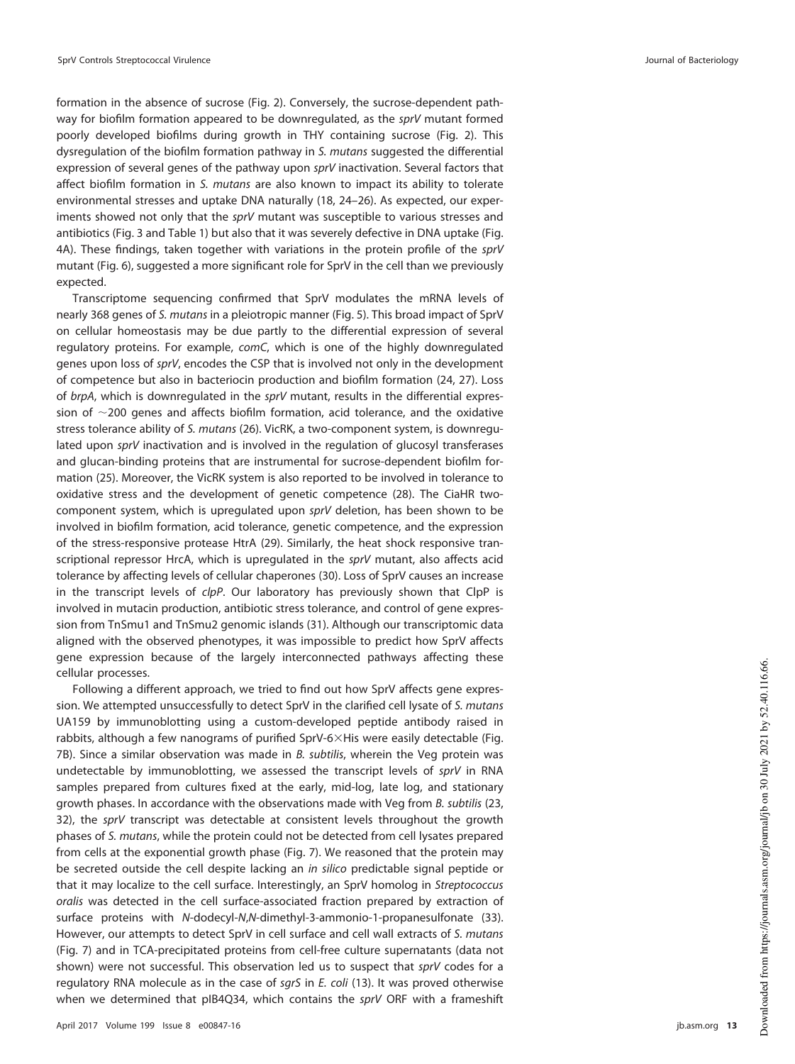formation in the absence of sucrose [\(Fig. 2\)](#page-3-0). Conversely, the sucrose-dependent pathway for biofilm formation appeared to be downregulated, as the sprV mutant formed poorly developed biofilms during growth in THY containing sucrose [\(Fig. 2\)](#page-3-0). This dysregulation of the biofilm formation pathway in S. mutans suggested the differential expression of several genes of the pathway upon sprV inactivation. Several factors that affect biofilm formation in S. mutans are also known to impact its ability to tolerate environmental stresses and uptake DNA naturally [\(18,](#page-16-17) [24](#page-17-4)[–](#page-17-5)[26\)](#page-17-6). As expected, our experiments showed not only that the sprV mutant was susceptible to various stresses and antibiotics [\(Fig. 3](#page-4-0) and [Table 1\)](#page-5-0) but also that it was severely defective in DNA uptake [\(Fig.](#page-5-1) [4A\)](#page-5-1). These findings, taken together with variations in the protein profile of the sprV mutant [\(Fig. 6\)](#page-8-0), suggested a more significant role for SprV in the cell than we previously expected.

Transcriptome sequencing confirmed that SprV modulates the mRNA levels of nearly 368 genes of S. mutans in a pleiotropic manner [\(Fig. 5\)](#page-6-0). This broad impact of SprV on cellular homeostasis may be due partly to the differential expression of several regulatory proteins. For example, comC, which is one of the highly downregulated genes upon loss of sprV, encodes the CSP that is involved not only in the development of competence but also in bacteriocin production and biofilm formation [\(24,](#page-17-4) [27\)](#page-17-7). Loss of  $brpA$ , which is downregulated in the  $sprV$  mutant, results in the differential expression of  $\sim$ 200 genes and affects biofilm formation, acid tolerance, and the oxidative stress tolerance ability of S. mutans [\(26\)](#page-17-6). VicRK, a two-component system, is downregulated upon sprV inactivation and is involved in the regulation of glucosyl transferases and glucan-binding proteins that are instrumental for sucrose-dependent biofilm formation [\(25\)](#page-17-5). Moreover, the VicRK system is also reported to be involved in tolerance to oxidative stress and the development of genetic competence [\(28\)](#page-17-8). The CiaHR twocomponent system, which is upregulated upon sprV deletion, has been shown to be involved in biofilm formation, acid tolerance, genetic competence, and the expression of the stress-responsive protease HtrA [\(29\)](#page-17-9). Similarly, the heat shock responsive transcriptional repressor HrcA, which is upregulated in the sprV mutant, also affects acid tolerance by affecting levels of cellular chaperones [\(30\)](#page-17-10). Loss of SprV causes an increase in the transcript levels of clpP. Our laboratory has previously shown that ClpP is involved in mutacin production, antibiotic stress tolerance, and control of gene expression from TnSmu1 and TnSmu2 genomic islands [\(31\)](#page-17-11). Although our transcriptomic data aligned with the observed phenotypes, it was impossible to predict how SprV affects gene expression because of the largely interconnected pathways affecting these cellular processes.

Following a different approach, we tried to find out how SprV affects gene expression. We attempted unsuccessfully to detect SprV in the clarified cell lysate of S. mutans UA159 by immunoblotting using a custom-developed peptide antibody raised in rabbits, although a few nanograms of purified SprV-6×His were easily detectable [\(Fig.](#page-9-0) [7B\)](#page-9-0). Since a similar observation was made in B. subtilis, wherein the Veg protein was undetectable by immunoblotting, we assessed the transcript levels of sprV in RNA samples prepared from cultures fixed at the early, mid-log, late log, and stationary growth phases. In accordance with the observations made with Veg from B. subtilis [\(23,](#page-17-3) [32\)](#page-17-12), the sprV transcript was detectable at consistent levels throughout the growth phases of S. mutans, while the protein could not be detected from cell lysates prepared from cells at the exponential growth phase [\(Fig. 7\)](#page-9-0). We reasoned that the protein may be secreted outside the cell despite lacking an in silico predictable signal peptide or that it may localize to the cell surface. Interestingly, an SprV homolog in Streptococcus oralis was detected in the cell surface-associated fraction prepared by extraction of surface proteins with N-dodecyl-N , N-dimethyl-3-ammonio-1-propanesulfonate [\(33\)](#page-17-13). However, our attempts to detect SprV in cell surface and cell wall extracts of S. mutans [\(Fig. 7\)](#page-9-0) and in TCA-precipitated proteins from cell-free culture supernatants (data not shown) were not successful. This observation led us to suspect that sprV codes for a regulatory RNA molecule as in the case of sgrS in E. coli [\(13\)](#page-16-12). It was proved otherwise when we determined that pIB4Q34, which contains the sprV ORF with a frameshift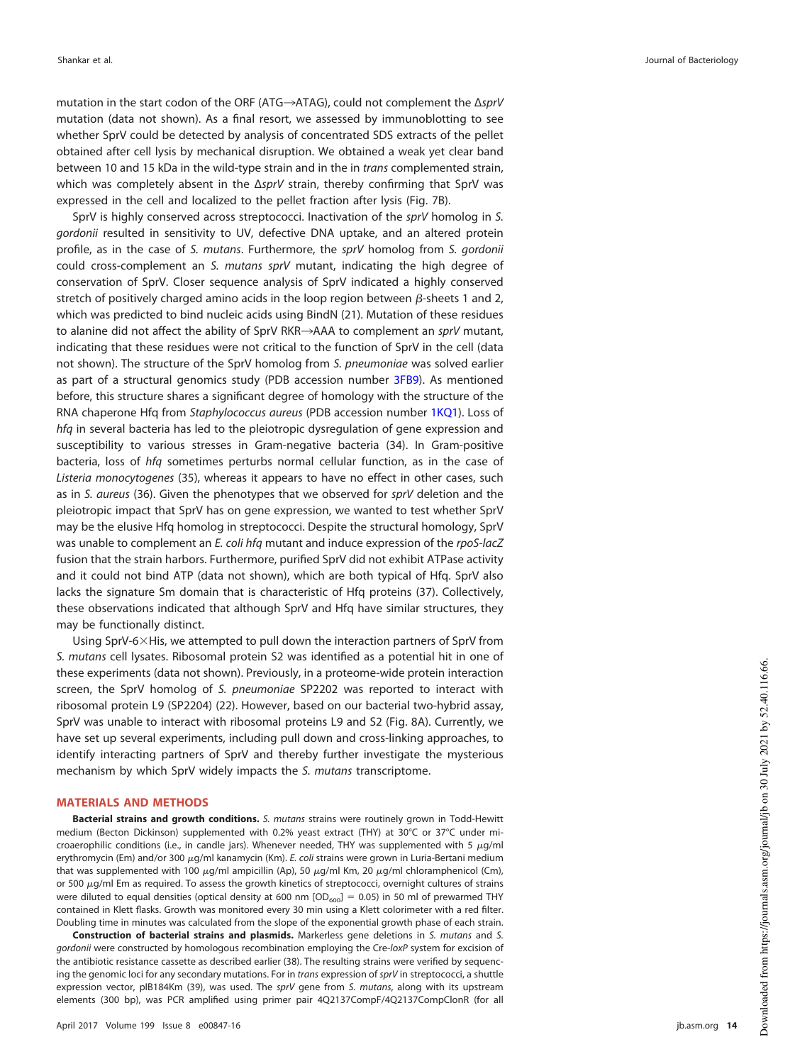mutation in the start codon of the ORF (ATG→ATAG), could not complement the ΔsprV mutation (data not shown). As a final resort, we assessed by immunoblotting to see whether SprV could be detected by analysis of concentrated SDS extracts of the pellet obtained after cell lysis by mechanical disruption. We obtained a weak yet clear band between 10 and 15 kDa in the wild-type strain and in the in trans complemented strain, which was completely absent in the ΔsprV strain, thereby confirming that SprV was expressed in the cell and localized to the pellet fraction after lysis [\(Fig. 7B\)](#page-9-0).

SprV is highly conserved across streptococci. Inactivation of the sprV homolog in S. gordonii resulted in sensitivity to UV, defective DNA uptake, and an altered protein profile, as in the case of S. mutans. Furthermore, the sprV homolog from S. gordonii could cross-complement an S. mutans sprV mutant, indicating the high degree of conservation of SprV. Closer sequence analysis of SprV indicated a highly conserved stretch of positively charged amino acids in the loop region between  $\beta$ -sheets 1 and 2, which was predicted to bind nucleic acids using BindN [\(21\)](#page-17-1). Mutation of these residues to alanine did not affect the ability of SprV RKR->AAA to complement an sprV mutant, indicating that these residues were not critical to the function of SprV in the cell (data not shown). The structure of the SprV homolog from S. pneumoniae was solved earlier as part of a structural genomics study (PDB accession number 3FB9). As mentioned before, this structure shares a significant degree of homology with the structure of the RNA chaperone Hfq from Staphylococcus aureus (PDB accession number 1KQ1). Loss of hfq in several bacteria has led to the pleiotropic dysregulation of gene expression and susceptibility to various stresses in Gram-negative bacteria [\(34\)](#page-17-14). In Gram-positive bacteria, loss of hfq sometimes perturbs normal cellular function, as in the case of Listeria monocytogenes [\(35\)](#page-17-15), whereas it appears to have no effect in other cases, such as in S. aureus [\(36\)](#page-17-16). Given the phenotypes that we observed for sprV deletion and the pleiotropic impact that SprV has on gene expression, we wanted to test whether SprV may be the elusive Hfq homolog in streptococci. Despite the structural homology, SprV was unable to complement an E. coli hfq mutant and induce expression of the rpoS-lacZ fusion that the strain harbors. Furthermore, purified SprV did not exhibit ATPase activity and it could not bind ATP (data not shown), which are both typical of Hfq. SprV also lacks the signature Sm domain that is characteristic of Hfq proteins [\(37\)](#page-17-17). Collectively, these observations indicated that although SprV and Hfq have similar structures, they may be functionally distinct.

Using SprV-6×His, we attempted to pull down the interaction partners of SprV from S. mutans cell lysates. Ribosomal protein S2 was identified as a potential hit in one of these experiments (data not shown). Previously, in a proteome-wide protein interaction screen, the SprV homolog of S. pneumoniae SP2202 was reported to interact with ribosomal protein L9 (SP2204) [\(22\)](#page-17-2). However, based on our bacterial two-hybrid assay, SprV was unable to interact with ribosomal proteins L9 and S2 [\(Fig. 8A\)](#page-10-0). Currently, we have set up several experiments, including pull down and cross-linking approaches, to identify interacting partners of SprV and thereby further investigate the mysterious mechanism by which SprV widely impacts the S. mutans transcriptome.

#### **MATERIALS AND METHODS**

**Bacterial strains and growth conditions.** S. mutans strains were routinely grown in Todd-Hewitt medium (Becton Dickinson) supplemented with 0.2% yeast extract (THY) at 30°C or 37°C under microaerophilic conditions (i.e., in candle jars). Whenever needed, THY was supplemented with 5  $\mu$ g/ml erythromycin (Em) and/or 300 µg/ml kanamycin (Km). E. coli strains were grown in Luria-Bertani medium that was supplemented with 100  $\mu$ g/ml ampicillin (Ap), 50  $\mu$ g/ml Km, 20  $\mu$ g/ml chloramphenicol (Cm), or 500 -g/ml Em as required. To assess the growth kinetics of streptococci, overnight cultures of strains were diluted to equal densities (optical density at 600 nm  $[OD_{600}] = 0.05$ ) in 50 ml of prewarmed THY contained in Klett flasks. Growth was monitored every 30 min using a Klett colorimeter with a red filter. Doubling time in minutes was calculated from the slope of the exponential growth phase of each strain.

**Construction of bacterial strains and plasmids.** Markerless gene deletions in S. mutans and S. gordonii were constructed by homologous recombination employing the Cre-loxP system for excision of the antibiotic resistance cassette as described earlier [\(38\)](#page-17-18). The resulting strains were verified by sequencing the genomic loci for any secondary mutations. For in trans expression of sprV in streptococci, a shuttle expression vector, pIB184Km [\(39\)](#page-17-19), was used. The sprV gene from S. mutans, along with its upstream elements (300 bp), was PCR amplified using primer pair 4Q2137CompF/4Q2137CompClonR (for all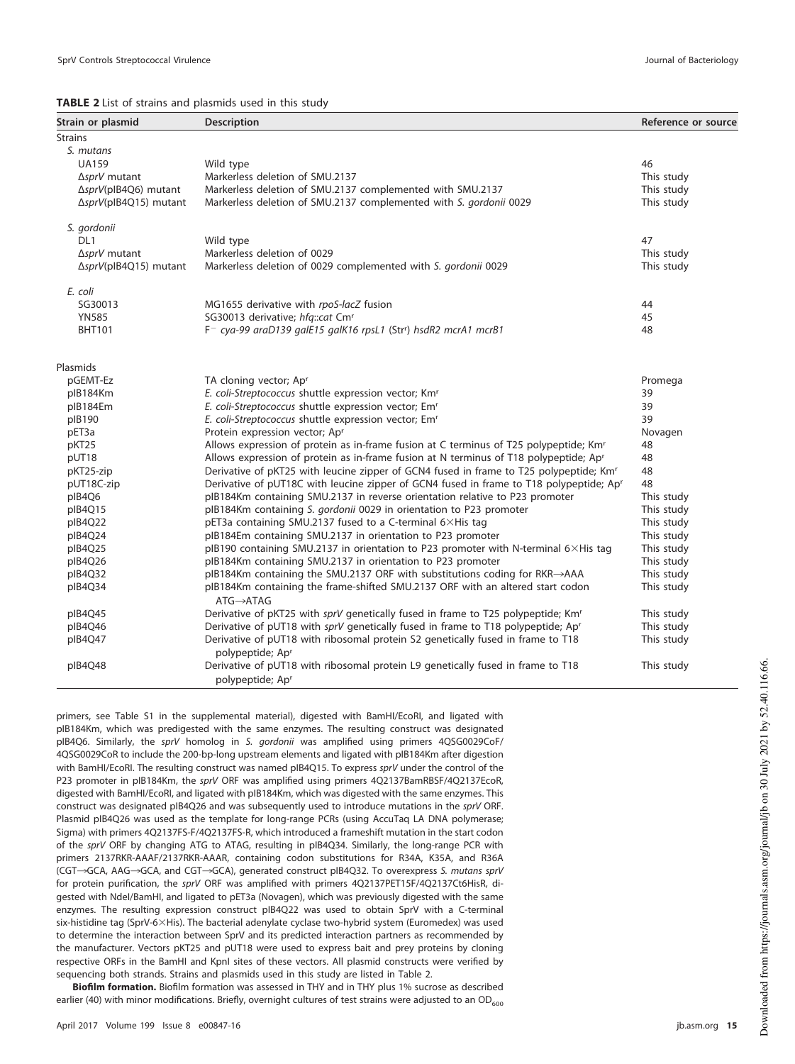<span id="page-14-0"></span>

| TABLE 2 List of strains and plasmids used in this study |  |  |  |  |  |  |  |
|---------------------------------------------------------|--|--|--|--|--|--|--|
|---------------------------------------------------------|--|--|--|--|--|--|--|

| Strain or plasmid     | <b>Description</b>                                                                                       | Reference or source |
|-----------------------|----------------------------------------------------------------------------------------------------------|---------------------|
| <b>Strains</b>        |                                                                                                          |                     |
| S. mutans             |                                                                                                          |                     |
| <b>UA159</b>          | Wild type                                                                                                | 46                  |
| ∆sprV mutant          | Markerless deletion of SMU.2137                                                                          | This study          |
| ΔsprV(plB4Q6) mutant  | Markerless deletion of SMU.2137 complemented with SMU.2137                                               | This study          |
| ΔsprV(pIB4Q15) mutant | Markerless deletion of SMU.2137 complemented with S. gordonii 0029                                       | This study          |
| S. gordonii           |                                                                                                          |                     |
| DL <sub>1</sub>       | Wild type                                                                                                | 47                  |
| ∆sprV mutant          | Markerless deletion of 0029                                                                              | This study          |
| ΔsprV(plB4Q15) mutant | Markerless deletion of 0029 complemented with S. gordonii 0029                                           | This study          |
| E. coli               |                                                                                                          |                     |
| SG30013               | MG1655 derivative with rpoS-lacZ fusion                                                                  | 44                  |
| <b>YN585</b>          | SG30013 derivative; hfg::cat Cmr                                                                         | 45                  |
| <b>BHT101</b>         | F <sup>-</sup> cya-99 araD139 galE15 galK16 rpsL1 (Str <sup>r</sup> ) hsdR2 mcrA1 mcrB1                  | 48                  |
| Plasmids              |                                                                                                          |                     |
| pGEMT-Ez              | TA cloning vector; Apr                                                                                   | Promega             |
| plB184Km              | E. coli-Streptococcus shuttle expression vector; Kmr                                                     | 39                  |
| plB184Em              | E. coli-Streptococcus shuttle expression vector; Emr                                                     | 39                  |
| plB190                | E. coli-Streptococcus shuttle expression vector; Emr                                                     | 39                  |
| pET3a                 | Protein expression vector; Apr                                                                           | Novagen             |
| pKT25                 | Allows expression of protein as in-frame fusion at C terminus of T25 polypeptide; Km <sup>r</sup>        | 48                  |
| pUT18                 | Allows expression of protein as in-frame fusion at N terminus of T18 polypeptide; Ap <sup>r</sup>        | 48                  |
| pKT25-zip             | Derivative of pKT25 with leucine zipper of GCN4 fused in frame to T25 polypeptide; Km <sup>r</sup>       | 48                  |
| pUT18C-zip            | Derivative of pUT18C with leucine zipper of GCN4 fused in frame to T18 polypeptide; Ap <sup>r</sup>      | 48                  |
| pIB4Q6                | plB184Km containing SMU.2137 in reverse orientation relative to P23 promoter                             | This study          |
| pIB4Q15               | plB184Km containing S. gordonii 0029 in orientation to P23 promoter                                      | This study          |
| pIB4Q22               | pET3a containing SMU.2137 fused to a C-terminal 6×His tag                                                | This study          |
| plB4Q24               | plB184Em containing SMU.2137 in orientation to P23 promoter                                              | This study          |
| pIB4Q25               | plB190 containing SMU.2137 in orientation to P23 promoter with N-terminal 6×His tag                      | This study          |
| plB4Q26               | plB184Km containing SMU.2137 in orientation to P23 promoter                                              | This study          |
| pIB4Q32               | plB184Km containing the SMU.2137 ORF with substitutions coding for RKR→AAA                               | This study          |
| pIB4Q34               | plB184Km containing the frame-shifted SMU.2137 ORF with an altered start codon<br>$ATG \rightarrow ATAG$ | This study          |
| pIB4Q45               | Derivative of pKT25 with sprV genetically fused in frame to T25 polypeptide; Kmr                         | This study          |
| pIB4Q46               | Derivative of pUT18 with sprV genetically fused in frame to T18 polypeptide; Ap <sup>r</sup>             | This study          |
| pIB4Q47               | Derivative of pUT18 with ribosomal protein S2 genetically fused in frame to T18<br>polypeptide; Apr      | This study          |
| plB4Q48               | Derivative of pUT18 with ribosomal protein L9 genetically fused in frame to T18                          | This study          |
|                       | polypeptide; Ap <sup>r</sup>                                                                             |                     |

primers, see Table S1 in the supplemental material), digested with BamHI/EcoRI, and ligated with pIB184Km, which was predigested with the same enzymes. The resulting construct was designated pIB4Q6. Similarly, the sprV homolog in S. gordonii was amplified using primers 4QSG0029CoF/ 4QSG0029CoR to include the 200-bp-long upstream elements and ligated with pIB184Km after digestion with BamHI/EcoRI. The resulting construct was named pIB4Q15. To express sprV under the control of the P23 promoter in pIB184Km, the sprV ORF was amplified using primers 4Q2137BamRBSF/4Q2137EcoR, digested with BamHI/EcoRI, and ligated with pIB184Km, which was digested with the same enzymes. This construct was designated pIB4Q26 and was subsequently used to introduce mutations in the sprV ORF. Plasmid pIB4Q26 was used as the template for long-range PCRs (using AccuTaq LA DNA polymerase; Sigma) with primers 4Q2137FS-F/4Q2137FS-R, which introduced a frameshift mutation in the start codon of the sprV ORF by changing ATG to ATAG, resulting in pIB4Q34. Similarly, the long-range PCR with primers 2137RKR-AAAF/2137RKR-AAAR, containing codon substitutions for R34A, K35A, and R36A (CGT->GCA, AAG->GCA, and CGT->GCA), generated construct pIB4Q32. To overexpress S. mutans sprV for protein purification, the sprV ORF was amplified with primers 4Q2137PET15F/4Q2137Ct6HisR, digested with NdeI/BamHI, and ligated to pET3a (Novagen), which was previously digested with the same enzymes. The resulting expression construct pIB4Q22 was used to obtain SprV with a C-terminal six-histidine tag (SprV-6 $\times$ His). The bacterial adenylate cyclase two-hybrid system (Euromedex) was used to determine the interaction between SprV and its predicted interaction partners as recommended by the manufacturer. Vectors pKT25 and pUT18 were used to express bait and prey proteins by cloning respective ORFs in the BamHI and KpnI sites of these vectors. All plasmid constructs were verified by sequencing both strands. Strains and plasmids used in this study are listed in [Table 2.](#page-14-0)

**Biofilm formation.** Biofilm formation was assessed in THY and in THY plus 1% sucrose as described earlier [\(40\)](#page-17-20) with minor modifications. Briefly, overnight cultures of test strains were adjusted to an OD $_{600}$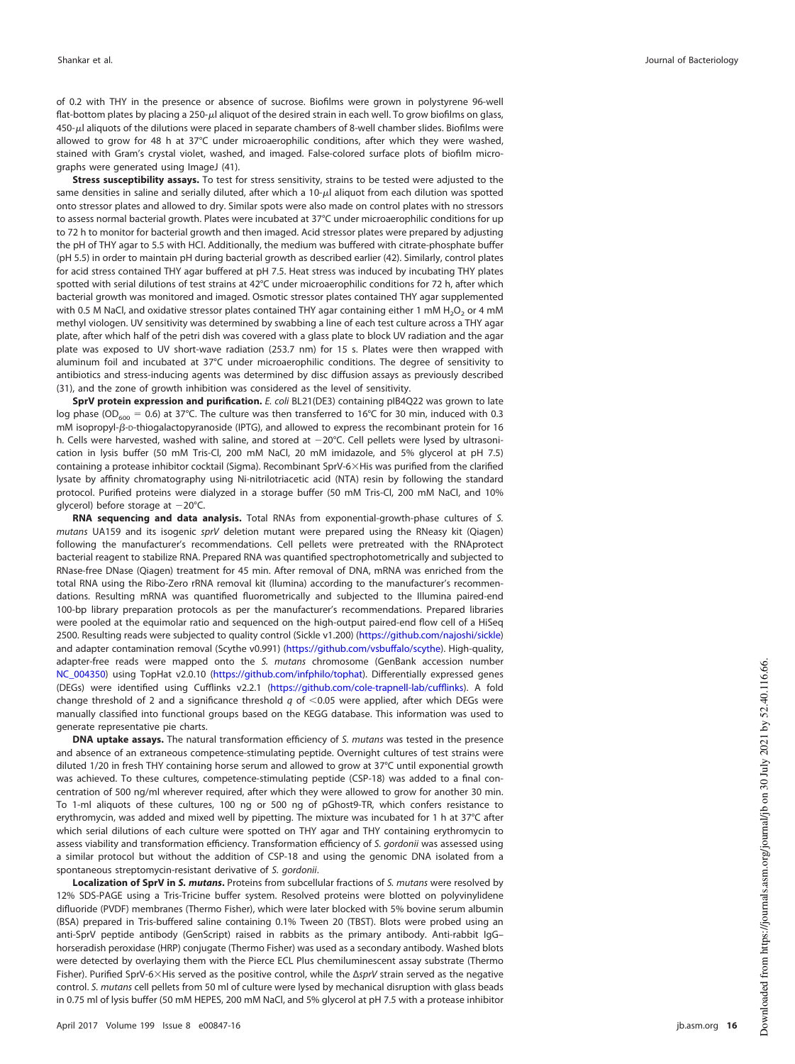of 0.2 with THY in the presence or absence of sucrose. Biofilms were grown in polystyrene 96-well flat-bottom plates by placing a 250-µl aliquot of the desired strain in each well. To grow biofilms on glass, 450- -l aliquots of the dilutions were placed in separate chambers of 8-well chamber slides. Biofilms were allowed to grow for 48 h at 37°C under microaerophilic conditions, after which they were washed, stained with Gram's crystal violet, washed, and imaged. False-colored surface plots of biofilm micrographs were generated using ImageJ [\(41\)](#page-17-26).

**Stress susceptibility assays.** To test for stress sensitivity, strains to be tested were adjusted to the same densities in saline and serially diluted, after which a 10-µl aliquot from each dilution was spotted onto stressor plates and allowed to dry. Similar spots were also made on control plates with no stressors to assess normal bacterial growth. Plates were incubated at 37°C under microaerophilic conditions for up to 72 h to monitor for bacterial growth and then imaged. Acid stressor plates were prepared by adjusting the pH of THY agar to 5.5 with HCl. Additionally, the medium was buffered with citrate-phosphate buffer (pH 5.5) in order to maintain pH during bacterial growth as described earlier [\(42\)](#page-17-27). Similarly, control plates for acid stress contained THY agar buffered at pH 7.5. Heat stress was induced by incubating THY plates spotted with serial dilutions of test strains at 42°C under microaerophilic conditions for 72 h, after which bacterial growth was monitored and imaged. Osmotic stressor plates contained THY agar supplemented with 0.5 M NaCl, and oxidative stressor plates contained THY agar containing either 1 mM  $\rm H_2O_2$  or 4 mM methyl viologen. UV sensitivity was determined by swabbing a line of each test culture across a THY agar plate, after which half of the petri dish was covered with a glass plate to block UV radiation and the agar plate was exposed to UV short-wave radiation (253.7 nm) for 15 s. Plates were then wrapped with aluminum foil and incubated at 37°C under microaerophilic conditions. The degree of sensitivity to antibiotics and stress-inducing agents was determined by disc diffusion assays as previously described [\(31\)](#page-17-11), and the zone of growth inhibition was considered as the level of sensitivity.

**SprV protein expression and purification.** E. coli BL21(DE3) containing pIB4Q22 was grown to late log phase (OD<sub>600</sub> = 0.6) at 37°C. The culture was then transferred to 16°C for 30 min, induced with 0.3 mM isopropyl- $\beta$ -p-thiogalactopyranoside (IPTG), and allowed to express the recombinant protein for 16 h. Cells were harvested, washed with saline, and stored at -20°C. Cell pellets were lysed by ultrasonication in lysis buffer (50 mM Tris-Cl, 200 mM NaCl, 20 mM imidazole, and 5% glycerol at pH 7.5) containing a protease inhibitor cocktail (Sigma). Recombinant SprV-6 His was purified from the clarified lysate by affinity chromatography using Ni-nitrilotriacetic acid (NTA) resin by following the standard protocol. Purified proteins were dialyzed in a storage buffer (50 mM Tris-Cl, 200 mM NaCl, and 10% glycerol) before storage at 20°C.

**RNA sequencing and data analysis.** Total RNAs from exponential-growth-phase cultures of S. mutans UA159 and its isogenic sprV deletion mutant were prepared using the RNeasy kit (Qiagen) following the manufacturer's recommendations. Cell pellets were pretreated with the RNAprotect bacterial reagent to stabilize RNA. Prepared RNA was quantified spectrophotometrically and subjected to RNase-free DNase (Qiagen) treatment for 45 min. After removal of DNA, mRNA was enriched from the total RNA using the Ribo-Zero rRNA removal kit (llumina) according to the manufacturer's recommendations. Resulting mRNA was quantified fluorometrically and subjected to the Illumina paired-end 100-bp library preparation protocols as per the manufacturer's recommendations. Prepared libraries were pooled at the equimolar ratio and sequenced on the high-output paired-end flow cell of a HiSeq 2500. Resulting reads were subjected to quality control (Sickle v1.200) (https://github.com/najoshi/sickle ) and adapter contamination removal (Scythe v0.991) (https://github.com/vsbuffalo/scythe). High-quality, adapter-free reads were mapped onto the S. mutans chromosome (GenBank accession number NC\_004350) using TopHat v2.0.10 (https://github.com/infphilo/tophat). Differentially expressed genes (DEGs) were identified using Cufflinks v2.2.1 (https://github.com/cole-trapnell-lab/cufflinks). A fold change threshold of 2 and a significance threshold  $q$  of  $\leq$  0.05 were applied, after which DEGs were manually classified into functional groups based on the KEGG database. This information was used to generate representative pie charts.

**DNA uptake assays.** The natural transformation efficiency of S. mutans was tested in the presence and absence of an extraneous competence-stimulating peptide. Overnight cultures of test strains were diluted 1/20 in fresh THY containing horse serum and allowed to grow at 37°C until exponential growth was achieved. To these cultures, competence-stimulating peptide (CSP-18) was added to a final concentration of 500 ng/ml wherever required, after which they were allowed to grow for another 30 min. To 1-ml aliquots of these cultures, 100 ng or 500 ng of pGhost9-TR, which confers resistance to erythromycin, was added and mixed well by pipetting. The mixture was incubated for 1 h at 37°C after which serial dilutions of each culture were spotted on THY agar and THY containing erythromycin to assess viability and transformation efficiency. Transformation efficiency of S. gordonii was assessed using a similar protocol but without the addition of CSP-18 and using the genomic DNA isolated from a spontaneous streptomycin-resistant derivative of S. gordonii.

**Localization of SprV in S. mutans .** Proteins from subcellular fractions of S. mutans were resolved by 12% SDS-PAGE using a Tris-Tricine buffer system. Resolved proteins were blotted on polyvinylidene difluoride (PVDF) membranes (Thermo Fisher), which were later blocked with 5% bovine serum albumin (BSA) prepared in Tris-buffered saline containing 0.1% Tween 20 (TBST). Blots were probed using an anti-SprV peptide antibody (GenScript) raised in rabbits as the primary antibody. Anti-rabbit IgG– horseradish peroxidase (HRP) conjugate (Thermo Fisher) was used as a secondary antibody. Washed blots were detected by overlaying them with the Pierce ECL Plus chemiluminescent assay substrate (Thermo Fisher). Purified SprV-6×His served as the positive control, while the ΔsprV strain served as the negative control. S. mutans cell pellets from 50 ml of culture were lysed by mechanical disruption with glass beads in 0.75 ml of lysis buffer (50 mM HEPES, 200 mM NaCl, and 5% glycerol at pH 7.5 with a protease inhibitor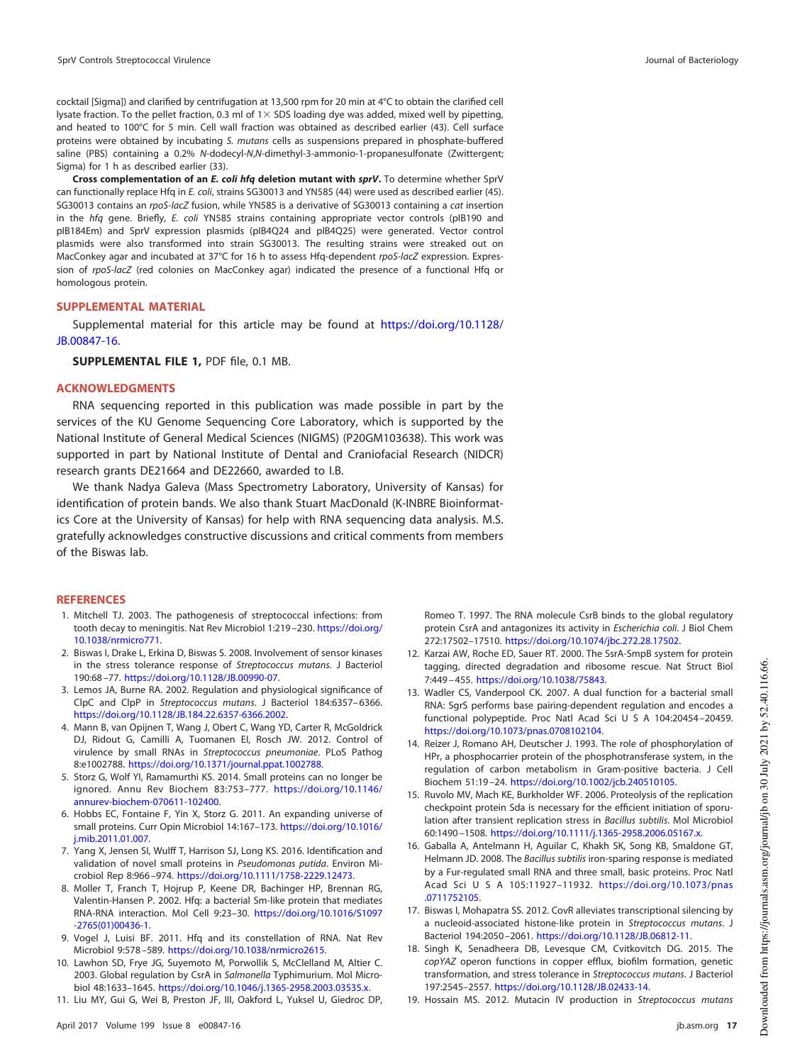cocktail [Sigma]) and clarified by centrifugation at 13,500 rpm for 20 min at 4°C to obtain the clarified cell lysate fraction. To the pellet fraction, 0.3 ml of  $1\times$  SDS loading dye was added, mixed well by pipetting, and heated to 100°C for 5 min. Cell wall fraction was obtained as described earlier [\(43\)](#page-17-28). Cell surface proteins were obtained by incubating S. mutans cells as suspensions prepared in phosphate-buffered saline (PBS) containing a 0.2% N-dodecyl-N,N-dimethyl-3-ammonio-1-propanesulfonate (Zwittergent; Sigma) for 1 h as described earlier [\(33\)](#page-17-13).

**Cross complementation of an E. coli hfq deletion mutant with sprV.** To determine whether SprV can functionally replace Hfq in E. coli, strains SG30013 and YN585 [\(44\)](#page-17-23) were used as described earlier [\(45\)](#page-17-24). SG30013 contains an rpoS-lacZ fusion, while YN585 is a derivative of SG30013 containing a cat insertion in the hfq gene. Briefly, E. coli YN585 strains containing appropriate vector controls (pIB190 and pIB184Em) and SprV expression plasmids (pIB4Q24 and pIB4Q25) were generated. Vector control plasmids were also transformed into strain SG30013. The resulting strains were streaked out on MacConkey agar and incubated at 37°C for 16 h to assess Hfq-dependent rpoS-lacZ expression. Expression of rpoS-lacZ (red colonies on MacConkey agar) indicated the presence of a functional Hfq or homologous protein.

#### **SUPPLEMENTAL MATERIAL**

Supplemental material for this article may be found at https://doi.org/10.1128/ JB.00847-16.

**SUPPLEMENTAL FILE 1,** PDF file, 0.1 MB.

#### **ACKNOWLEDGMENTS**

RNA sequencing reported in this publication was made possible in part by the services of the KU Genome Sequencing Core Laboratory, which is supported by the National Institute of General Medical Sciences (NIGMS) (P20GM103638). This work was supported in part by National Institute of Dental and Craniofacial Research (NIDCR) research grants DE21664 and DE22660, awarded to I.B.

We thank Nadya Galeva (Mass Spectrometry Laboratory, University of Kansas) for identification of protein bands. We also thank Stuart MacDonald (K-INBRE Bioinformatics Core at the University of Kansas) for help with RNA sequencing data analysis. M.S. gratefully acknowledges constructive discussions and critical comments from members of the Biswas lab.

#### <span id="page-16-0"></span>**REFERENCES**

- 1. Mitchell TJ. 2003. The pathogenesis of streptococcal infections: from tooth decay to meningitis. Nat Rev Microbiol 1:219 –230. https://doi.org/ 10.1038/nrmicro771.
- <span id="page-16-1"></span>2. Biswas I, Drake L, Erkina D, Biswas S. 2008. Involvement of sensor kinases in the stress tolerance response of Streptococcus mutans. J Bacteriol 190:68 –77. https://doi.org/10.1128/JB.00990-07.
- <span id="page-16-3"></span><span id="page-16-2"></span>3. Lemos JA, Burne RA. 2002. Regulation and physiological significance of ClpC and ClpP in Streptococcus mutans. J Bacteriol 184:6357– 6366. https://doi.org/10.1128/JB.184.22.6357-6366.2002.
- 4. Mann B, van Opijnen T, Wang J, Obert C, Wang YD, Carter R, McGoldrick DJ, Ridout G, Camilli A, Tuomanen EI, Rosch JW. 2012. Control of virulence by small RNAs in Streptococcus pneumoniae. PLoS Pathog 8:e1002788. https://doi.org/10.1371/journal.ppat.1002788.
- <span id="page-16-5"></span><span id="page-16-4"></span>5. Storz G, Wolf YI, Ramamurthi KS. 2014. Small proteins can no longer be ignored. Annu Rev Biochem 83:753–777. https://doi.org/10.1146/ annurev-biochem-070611-102400.
- <span id="page-16-6"></span>6. Hobbs EC, Fontaine F, Yin X, Storz G. 2011. An expanding universe of small proteins. Curr Opin Microbiol 14:167–173. https://doi.org/10.1016/ j.mib.2011.01.007.
- <span id="page-16-7"></span>7. Yang X, Jensen SI, Wulff T, Harrison SJ, Long KS. 2016. Identification and validation of novel small proteins in Pseudomonas putida. Environ Microbiol Rep 8:966 –974. https://doi.org/10.1111/1758-2229.12473.
- 8. Moller T, Franch T, Hojrup P, Keene DR, Bachinger HP, Brennan RG, Valentin-Hansen P. 2002. Hfq: a bacterial Sm-like protein that mediates RNA-RNA interaction. Mol Cell 9:23–30. https://doi.org/10.1016/S1097 -2765(01)00436-1.
- <span id="page-16-9"></span><span id="page-16-8"></span>9. Vogel J, Luisi BF. 2011. Hfq and its constellation of RNA. Nat Rev Microbiol 9:578 –589. https://doi.org/10.1038/nrmicro2615.
- <span id="page-16-10"></span>10. Lawhon SD, Frye JG, Suyemoto M, Porwollik S, McClelland M, Altier C. 2003. Global regulation by CsrA in Salmonella Typhimurium. Mol Microbiol 48:1633–1645. https://doi.org/10.1046/j.1365-2958.2003.03535.x.
- 11. Liu MY, Gui G, Wei B, Preston JF, III, Oakford L, Yuksel U, Giedroc DP,

Romeo T. 1997. The RNA molecule CsrB binds to the global regulatory protein CsrA and antagonizes its activity in Escherichia coli. J Biol Chem 272:17502–17510. https://doi.org/10.1074/jbc.272.28.17502.

- <span id="page-16-11"></span>12. Karzai AW, Roche ED, Sauer RT. 2000. The SsrA-SmpB system for protein tagging, directed degradation and ribosome rescue. Nat Struct Biol 7:449 – 455. https://doi.org/10.1038/75843.
- <span id="page-16-12"></span>13. Wadler CS, Vanderpool CK. 2007. A dual function for a bacterial small RNA: SgrS performs base pairing-dependent regulation and encodes a functional polypeptide. Proc Natl Acad Sci U S A 104:20454-20459. https://doi.org/10.1073/pnas.0708102104.
- <span id="page-16-13"></span>14. Reizer J, Romano AH, Deutscher J. 1993. The role of phosphorylation of HPr, a phosphocarrier protein of the phosphotransferase system, in the regulation of carbon metabolism in Gram-positive bacteria. J Cell Biochem 51:19 –24. https://doi.org/10.1002/jcb.240510105.
- <span id="page-16-14"></span>15. Ruvolo MV, Mach KE, Burkholder WF. 2006. Proteolysis of the replication checkpoint protein Sda is necessary for the efficient initiation of sporulation after transient replication stress in Bacillus subtilis. Mol Microbiol 60:1490 –1508. https://doi.org/10.1111/j.1365-2958.2006.05167.x.
- <span id="page-16-15"></span>16. Gaballa A, Antelmann H, Aguilar C, Khakh SK, Song KB, Smaldone GT, Helmann JD. 2008. The Bacillus subtilis iron-sparing response is mediated by a Fur-regulated small RNA and three small, basic proteins. Proc Natl Acad SciUSA 105:11927–11932. https://doi.org/10.1073/pnas .0711752105.
- <span id="page-16-17"></span><span id="page-16-16"></span>17. Biswas I, Mohapatra SS. 2012. CovR alleviates transcriptional silencing by a nucleoid-associated histone-like protein in Streptococcus mutans. J Bacteriol 194:2050 –2061. https://doi.org/10.1128/JB.06812-11.
- 18. Singh K, Senadheera DB, Levesque CM, Cvitkovitch DG. 2015. The copYAZ operon functions in copper efflux, biofilm formation, genetic transformation, and stress tolerance in Streptococcus mutans. J Bacteriol 197:2545–2557. https://doi.org/10.1128/JB.02433-14.
- <span id="page-16-18"></span>19. Hossain MS. 2012. Mutacin IV production in Streptococcus mutans